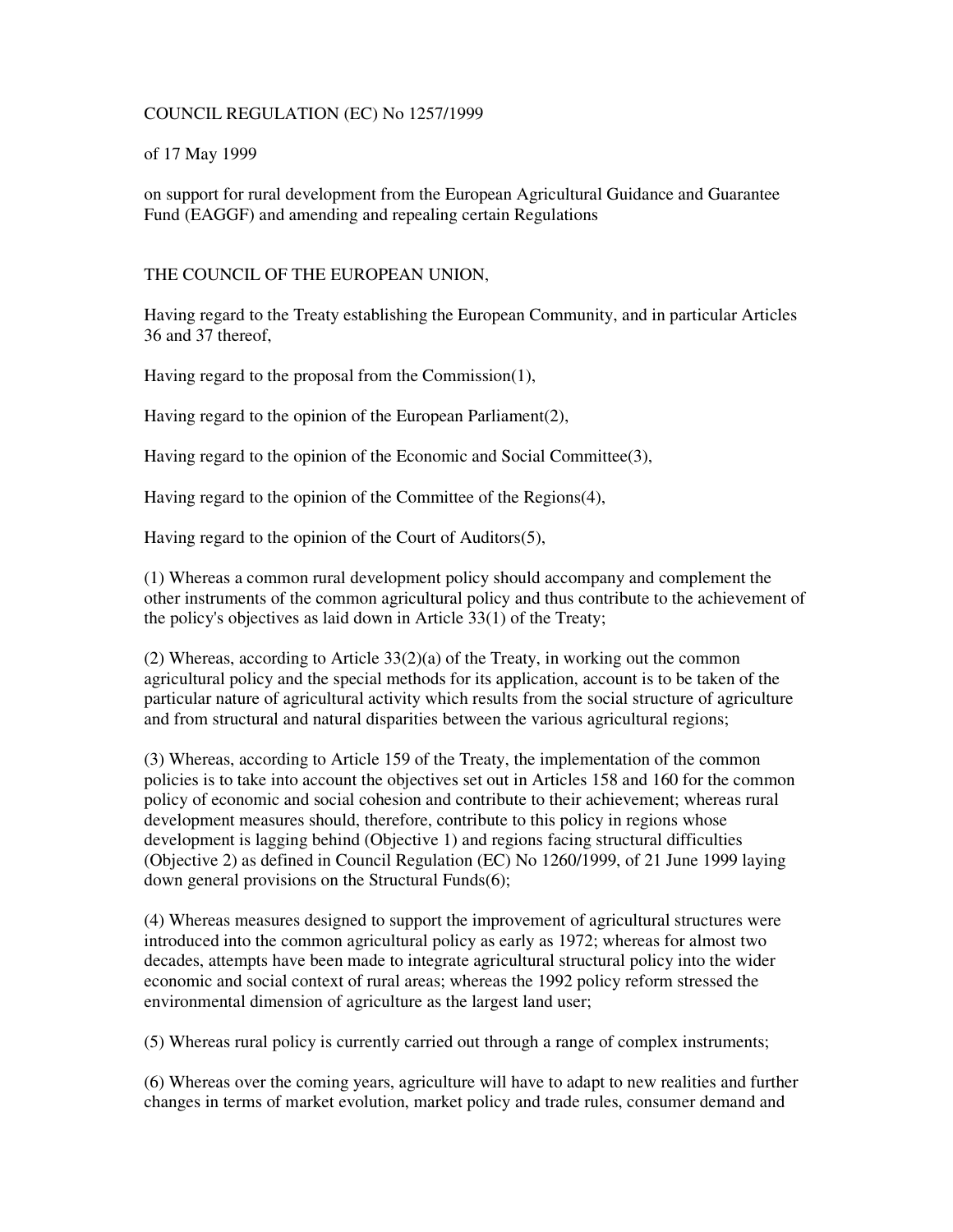### COUNCIL REGULATION (EC) No 1257/1999

### of 17 May 1999

on support for rural development from the European Agricultural Guidance and Guarantee Fund (EAGGF) and amending and repealing certain Regulations

### THE COUNCIL OF THE EUROPEAN UNION,

Having regard to the Treaty establishing the European Community, and in particular Articles 36 and 37 thereof,

Having regard to the proposal from the Commission(1),

Having regard to the opinion of the European Parliament(2),

Having regard to the opinion of the Economic and Social Committee(3),

Having regard to the opinion of the Committee of the Regions(4),

Having regard to the opinion of the Court of Auditors(5),

(1) Whereas a common rural development policy should accompany and complement the other instruments of the common agricultural policy and thus contribute to the achievement of the policy's objectives as laid down in Article 33(1) of the Treaty;

(2) Whereas, according to Article 33(2)(a) of the Treaty, in working out the common agricultural policy and the special methods for its application, account is to be taken of the particular nature of agricultural activity which results from the social structure of agriculture and from structural and natural disparities between the various agricultural regions;

(3) Whereas, according to Article 159 of the Treaty, the implementation of the common policies is to take into account the objectives set out in Articles 158 and 160 for the common policy of economic and social cohesion and contribute to their achievement; whereas rural development measures should, therefore, contribute to this policy in regions whose development is lagging behind (Objective 1) and regions facing structural difficulties (Objective 2) as defined in Council Regulation (EC) No 1260/1999, of 21 June 1999 laying down general provisions on the Structural Funds(6);

(4) Whereas measures designed to support the improvement of agricultural structures were introduced into the common agricultural policy as early as 1972; whereas for almost two decades, attempts have been made to integrate agricultural structural policy into the wider economic and social context of rural areas; whereas the 1992 policy reform stressed the environmental dimension of agriculture as the largest land user;

(5) Whereas rural policy is currently carried out through a range of complex instruments;

(6) Whereas over the coming years, agriculture will have to adapt to new realities and further changes in terms of market evolution, market policy and trade rules, consumer demand and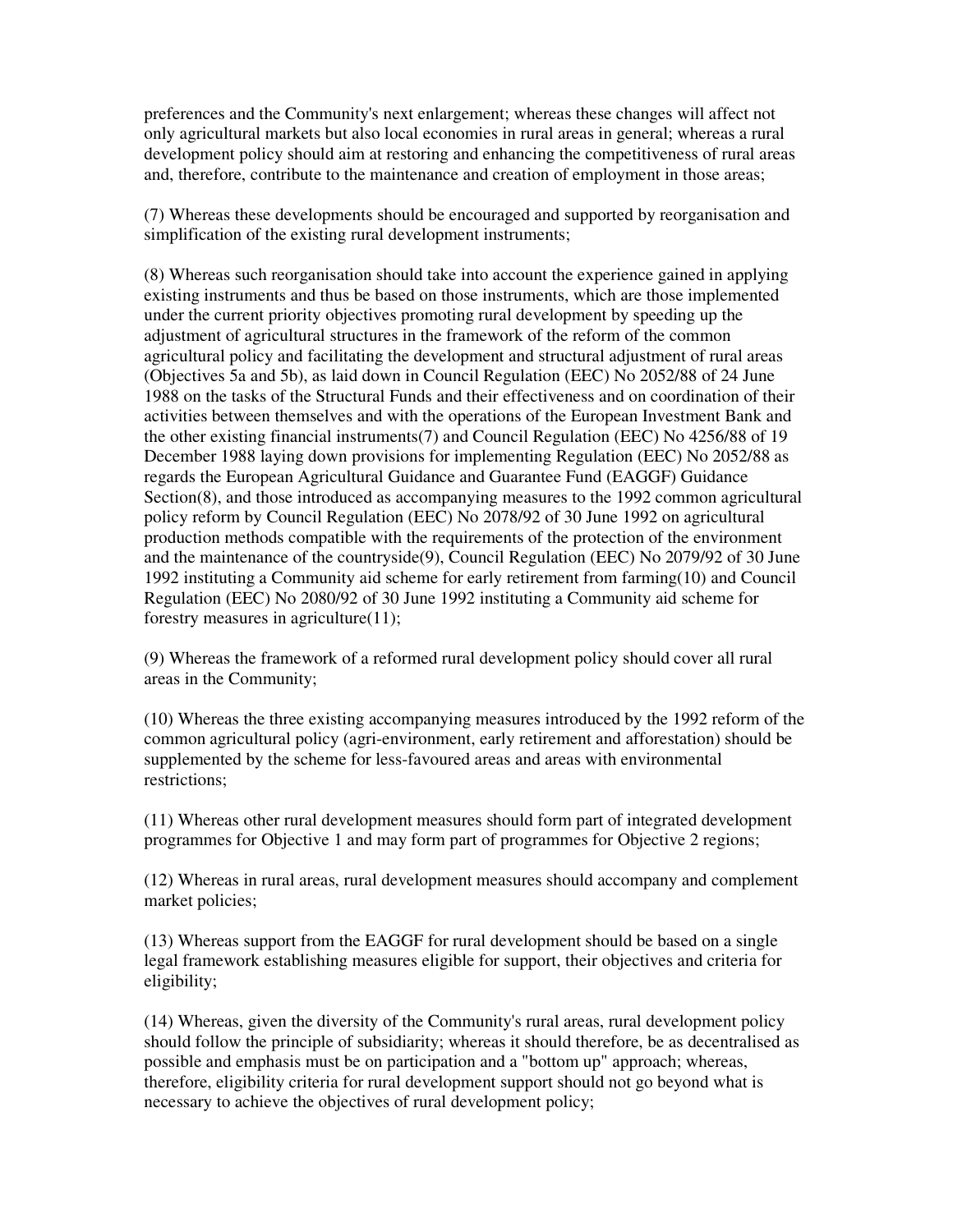preferences and the Community's next enlargement; whereas these changes will affect not only agricultural markets but also local economies in rural areas in general; whereas a rural development policy should aim at restoring and enhancing the competitiveness of rural areas and, therefore, contribute to the maintenance and creation of employment in those areas;

(7) Whereas these developments should be encouraged and supported by reorganisation and simplification of the existing rural development instruments;

(8) Whereas such reorganisation should take into account the experience gained in applying existing instruments and thus be based on those instruments, which are those implemented under the current priority objectives promoting rural development by speeding up the adjustment of agricultural structures in the framework of the reform of the common agricultural policy and facilitating the development and structural adjustment of rural areas (Objectives 5a and 5b), as laid down in Council Regulation (EEC) No 2052/88 of 24 June 1988 on the tasks of the Structural Funds and their effectiveness and on coordination of their activities between themselves and with the operations of the European Investment Bank and the other existing financial instruments(7) and Council Regulation (EEC) No 4256/88 of 19 December 1988 laying down provisions for implementing Regulation (EEC) No 2052/88 as regards the European Agricultural Guidance and Guarantee Fund (EAGGF) Guidance Section(8), and those introduced as accompanying measures to the 1992 common agricultural policy reform by Council Regulation (EEC) No 2078/92 of 30 June 1992 on agricultural production methods compatible with the requirements of the protection of the environment and the maintenance of the countryside(9), Council Regulation (EEC) No 2079/92 of 30 June 1992 instituting a Community aid scheme for early retirement from farming(10) and Council Regulation (EEC) No 2080/92 of 30 June 1992 instituting a Community aid scheme for forestry measures in agriculture(11);

(9) Whereas the framework of a reformed rural development policy should cover all rural areas in the Community;

(10) Whereas the three existing accompanying measures introduced by the 1992 reform of the common agricultural policy (agri-environment, early retirement and afforestation) should be supplemented by the scheme for less-favoured areas and areas with environmental restrictions;

(11) Whereas other rural development measures should form part of integrated development programmes for Objective 1 and may form part of programmes for Objective 2 regions;

(12) Whereas in rural areas, rural development measures should accompany and complement market policies;

(13) Whereas support from the EAGGF for rural development should be based on a single legal framework establishing measures eligible for support, their objectives and criteria for eligibility;

(14) Whereas, given the diversity of the Community's rural areas, rural development policy should follow the principle of subsidiarity; whereas it should therefore, be as decentralised as possible and emphasis must be on participation and a "bottom up" approach; whereas, therefore, eligibility criteria for rural development support should not go beyond what is necessary to achieve the objectives of rural development policy;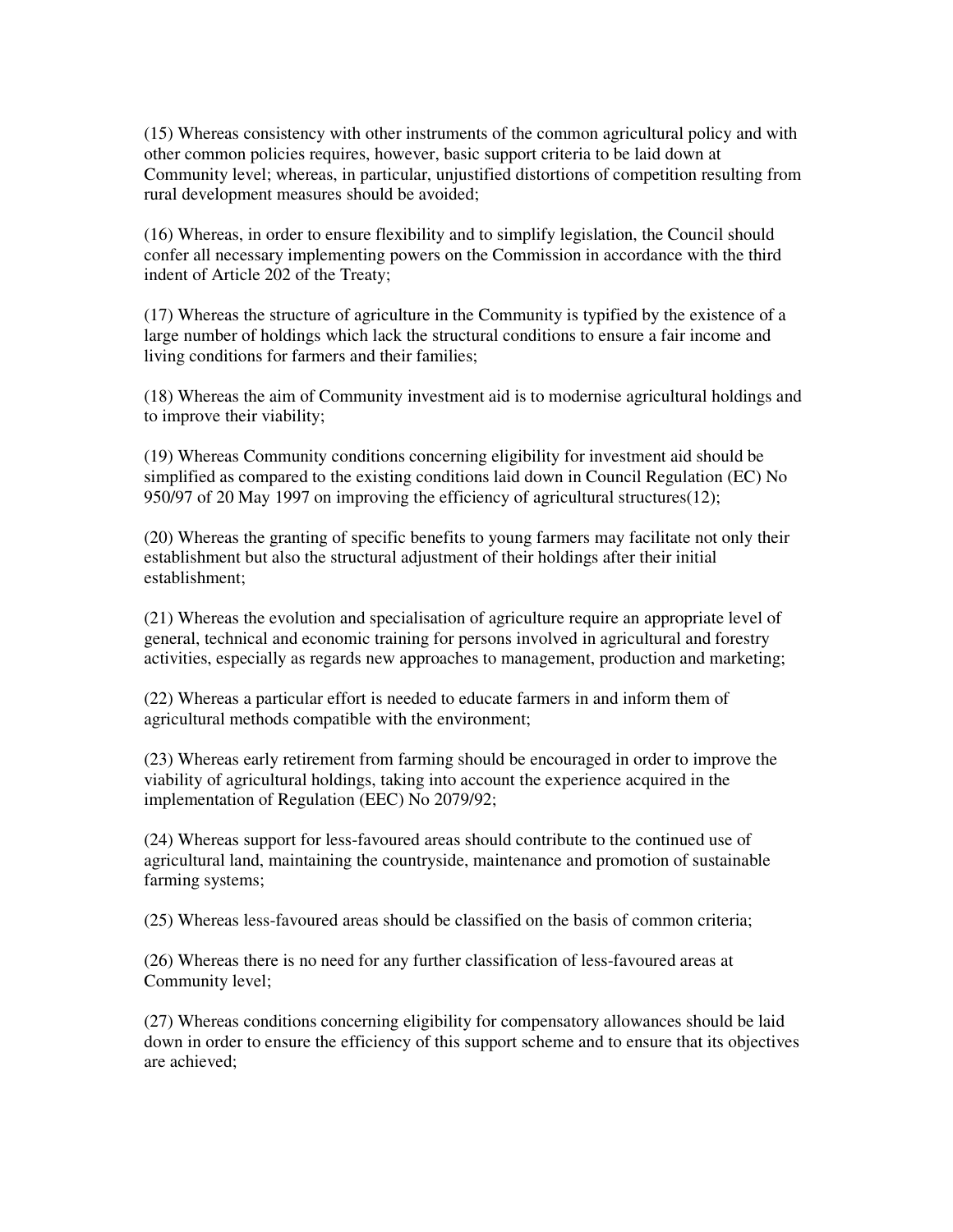(15) Whereas consistency with other instruments of the common agricultural policy and with other common policies requires, however, basic support criteria to be laid down at Community level; whereas, in particular, unjustified distortions of competition resulting from rural development measures should be avoided;

(16) Whereas, in order to ensure flexibility and to simplify legislation, the Council should confer all necessary implementing powers on the Commission in accordance with the third indent of Article 202 of the Treaty;

(17) Whereas the structure of agriculture in the Community is typified by the existence of a large number of holdings which lack the structural conditions to ensure a fair income and living conditions for farmers and their families;

(18) Whereas the aim of Community investment aid is to modernise agricultural holdings and to improve their viability;

(19) Whereas Community conditions concerning eligibility for investment aid should be simplified as compared to the existing conditions laid down in Council Regulation (EC) No 950/97 of 20 May 1997 on improving the efficiency of agricultural structures(12);

(20) Whereas the granting of specific benefits to young farmers may facilitate not only their establishment but also the structural adjustment of their holdings after their initial establishment;

(21) Whereas the evolution and specialisation of agriculture require an appropriate level of general, technical and economic training for persons involved in agricultural and forestry activities, especially as regards new approaches to management, production and marketing;

(22) Whereas a particular effort is needed to educate farmers in and inform them of agricultural methods compatible with the environment;

(23) Whereas early retirement from farming should be encouraged in order to improve the viability of agricultural holdings, taking into account the experience acquired in the implementation of Regulation (EEC) No 2079/92;

(24) Whereas support for less-favoured areas should contribute to the continued use of agricultural land, maintaining the countryside, maintenance and promotion of sustainable farming systems;

(25) Whereas less-favoured areas should be classified on the basis of common criteria;

(26) Whereas there is no need for any further classification of less-favoured areas at Community level;

(27) Whereas conditions concerning eligibility for compensatory allowances should be laid down in order to ensure the efficiency of this support scheme and to ensure that its objectives are achieved;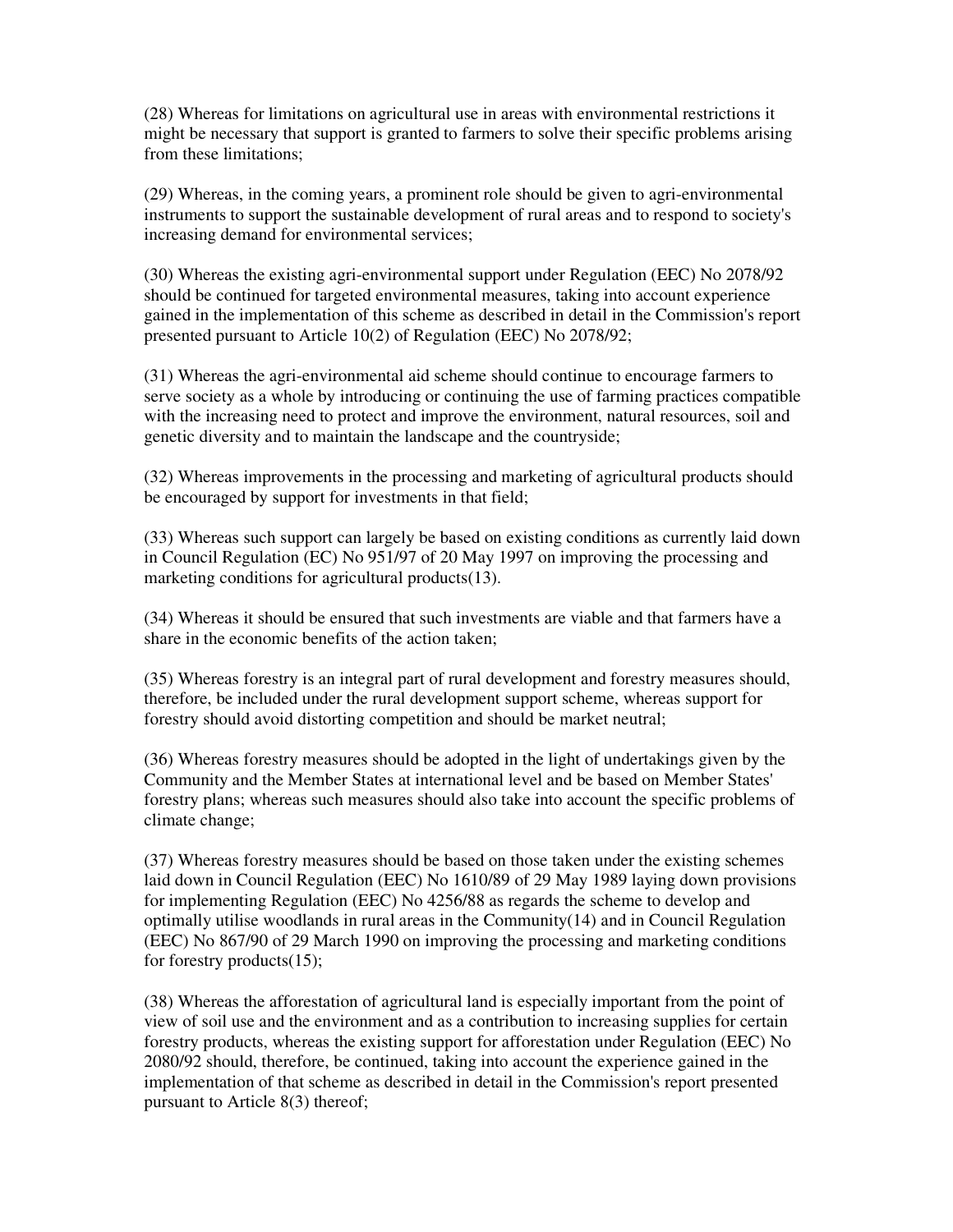(28) Whereas for limitations on agricultural use in areas with environmental restrictions it might be necessary that support is granted to farmers to solve their specific problems arising from these limitations;

(29) Whereas, in the coming years, a prominent role should be given to agri-environmental instruments to support the sustainable development of rural areas and to respond to society's increasing demand for environmental services;

(30) Whereas the existing agri-environmental support under Regulation (EEC) No 2078/92 should be continued for targeted environmental measures, taking into account experience gained in the implementation of this scheme as described in detail in the Commission's report presented pursuant to Article 10(2) of Regulation (EEC) No 2078/92;

(31) Whereas the agri-environmental aid scheme should continue to encourage farmers to serve society as a whole by introducing or continuing the use of farming practices compatible with the increasing need to protect and improve the environment, natural resources, soil and genetic diversity and to maintain the landscape and the countryside;

(32) Whereas improvements in the processing and marketing of agricultural products should be encouraged by support for investments in that field;

(33) Whereas such support can largely be based on existing conditions as currently laid down in Council Regulation (EC) No 951/97 of 20 May 1997 on improving the processing and marketing conditions for agricultural products(13).

(34) Whereas it should be ensured that such investments are viable and that farmers have a share in the economic benefits of the action taken;

(35) Whereas forestry is an integral part of rural development and forestry measures should, therefore, be included under the rural development support scheme, whereas support for forestry should avoid distorting competition and should be market neutral;

(36) Whereas forestry measures should be adopted in the light of undertakings given by the Community and the Member States at international level and be based on Member States' forestry plans; whereas such measures should also take into account the specific problems of climate change;

(37) Whereas forestry measures should be based on those taken under the existing schemes laid down in Council Regulation (EEC) No 1610/89 of 29 May 1989 laying down provisions for implementing Regulation (EEC) No 4256/88 as regards the scheme to develop and optimally utilise woodlands in rural areas in the Community $(14)$  and in Council Regulation (EEC) No 867/90 of 29 March 1990 on improving the processing and marketing conditions for forestry products(15);

(38) Whereas the afforestation of agricultural land is especially important from the point of view of soil use and the environment and as a contribution to increasing supplies for certain forestry products, whereas the existing support for afforestation under Regulation (EEC) No 2080/92 should, therefore, be continued, taking into account the experience gained in the implementation of that scheme as described in detail in the Commission's report presented pursuant to Article 8(3) thereof;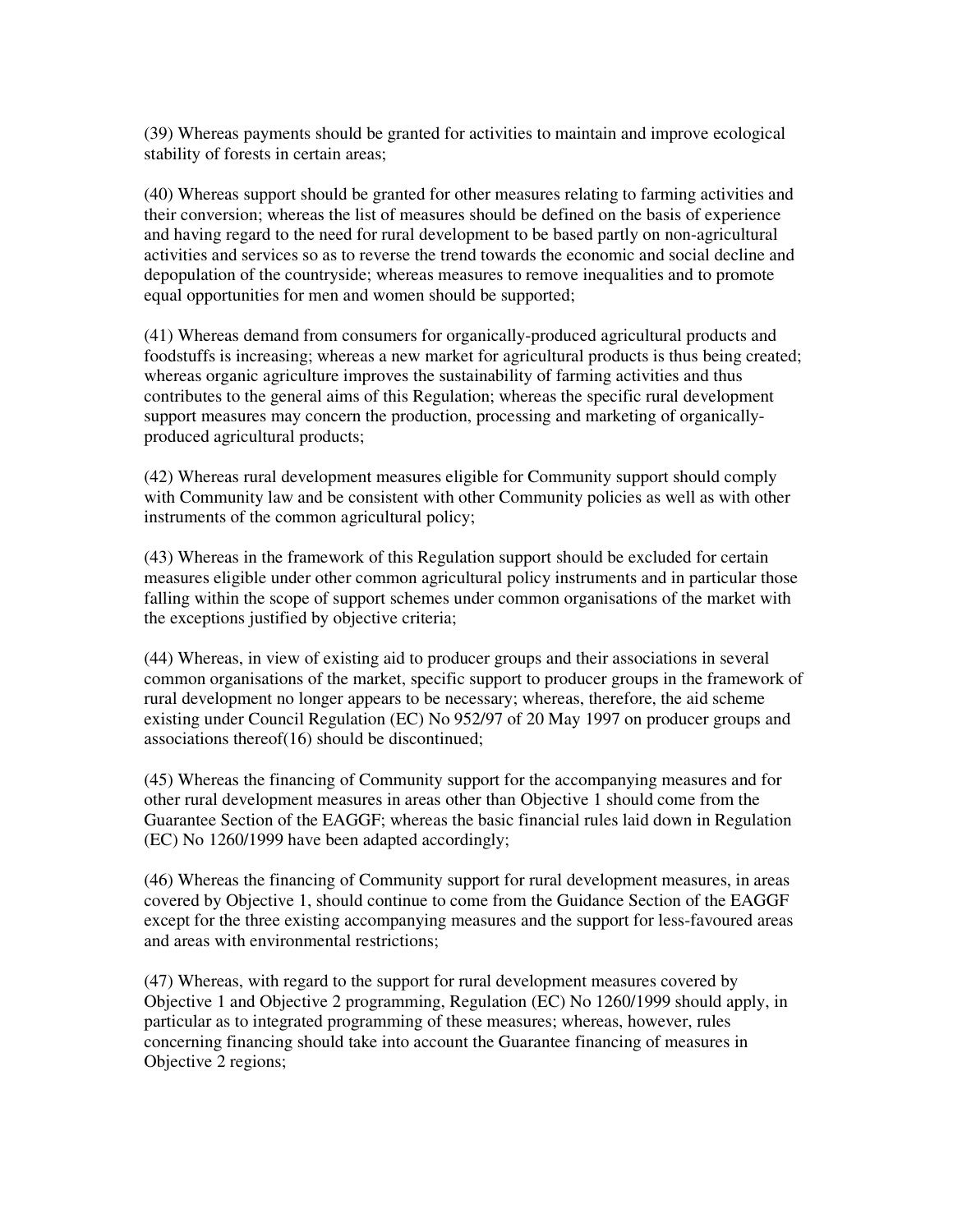(39) Whereas payments should be granted for activities to maintain and improve ecological stability of forests in certain areas;

(40) Whereas support should be granted for other measures relating to farming activities and their conversion; whereas the list of measures should be defined on the basis of experience and having regard to the need for rural development to be based partly on non-agricultural activities and services so as to reverse the trend towards the economic and social decline and depopulation of the countryside; whereas measures to remove inequalities and to promote equal opportunities for men and women should be supported;

(41) Whereas demand from consumers for organically-produced agricultural products and foodstuffs is increasing; whereas a new market for agricultural products is thus being created; whereas organic agriculture improves the sustainability of farming activities and thus contributes to the general aims of this Regulation; whereas the specific rural development support measures may concern the production, processing and marketing of organicallyproduced agricultural products;

(42) Whereas rural development measures eligible for Community support should comply with Community law and be consistent with other Community policies as well as with other instruments of the common agricultural policy;

(43) Whereas in the framework of this Regulation support should be excluded for certain measures eligible under other common agricultural policy instruments and in particular those falling within the scope of support schemes under common organisations of the market with the exceptions justified by objective criteria;

(44) Whereas, in view of existing aid to producer groups and their associations in several common organisations of the market, specific support to producer groups in the framework of rural development no longer appears to be necessary; whereas, therefore, the aid scheme existing under Council Regulation (EC) No 952/97 of 20 May 1997 on producer groups and associations thereof(16) should be discontinued;

(45) Whereas the financing of Community support for the accompanying measures and for other rural development measures in areas other than Objective 1 should come from the Guarantee Section of the EAGGF; whereas the basic financial rules laid down in Regulation (EC) No 1260/1999 have been adapted accordingly;

(46) Whereas the financing of Community support for rural development measures, in areas covered by Objective 1, should continue to come from the Guidance Section of the EAGGF except for the three existing accompanying measures and the support for less-favoured areas and areas with environmental restrictions;

(47) Whereas, with regard to the support for rural development measures covered by Objective 1 and Objective 2 programming, Regulation (EC) No 1260/1999 should apply, in particular as to integrated programming of these measures; whereas, however, rules concerning financing should take into account the Guarantee financing of measures in Objective 2 regions;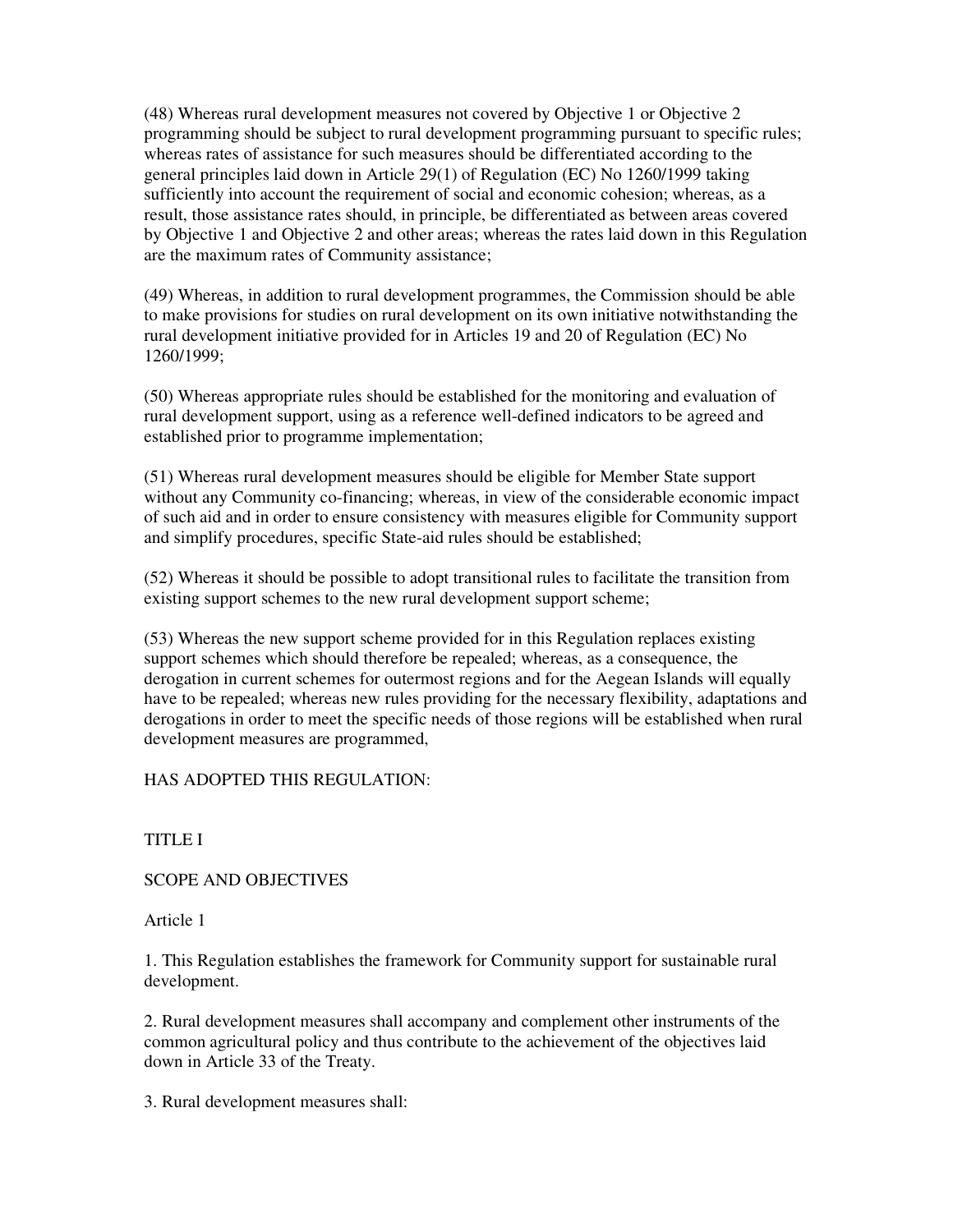(48) Whereas rural development measures not covered by Objective 1 or Objective 2 programming should be subject to rural development programming pursuant to specific rules; whereas rates of assistance for such measures should be differentiated according to the general principles laid down in Article 29(1) of Regulation (EC) No 1260/1999 taking sufficiently into account the requirement of social and economic cohesion; whereas, as a result, those assistance rates should, in principle, be differentiated as between areas covered by Objective 1 and Objective 2 and other areas; whereas the rates laid down in this Regulation are the maximum rates of Community assistance;

(49) Whereas, in addition to rural development programmes, the Commission should be able to make provisions for studies on rural development on its own initiative notwithstanding the rural development initiative provided for in Articles 19 and 20 of Regulation (EC) No 1260/1999;

(50) Whereas appropriate rules should be established for the monitoring and evaluation of rural development support, using as a reference well-defined indicators to be agreed and established prior to programme implementation;

(51) Whereas rural development measures should be eligible for Member State support without any Community co-financing; whereas, in view of the considerable economic impact of such aid and in order to ensure consistency with measures eligible for Community support and simplify procedures, specific State-aid rules should be established;

(52) Whereas it should be possible to adopt transitional rules to facilitate the transition from existing support schemes to the new rural development support scheme;

(53) Whereas the new support scheme provided for in this Regulation replaces existing support schemes which should therefore be repealed; whereas, as a consequence, the derogation in current schemes for outermost regions and for the Aegean Islands will equally have to be repealed; whereas new rules providing for the necessary flexibility, adaptations and derogations in order to meet the specific needs of those regions will be established when rural development measures are programmed,

HAS ADOPTED THIS REGULATION:

TITLE I

SCOPE AND OBJECTIVES

Article 1

1. This Regulation establishes the framework for Community support for sustainable rural development.

2. Rural development measures shall accompany and complement other instruments of the common agricultural policy and thus contribute to the achievement of the objectives laid down in Article 33 of the Treaty.

3. Rural development measures shall: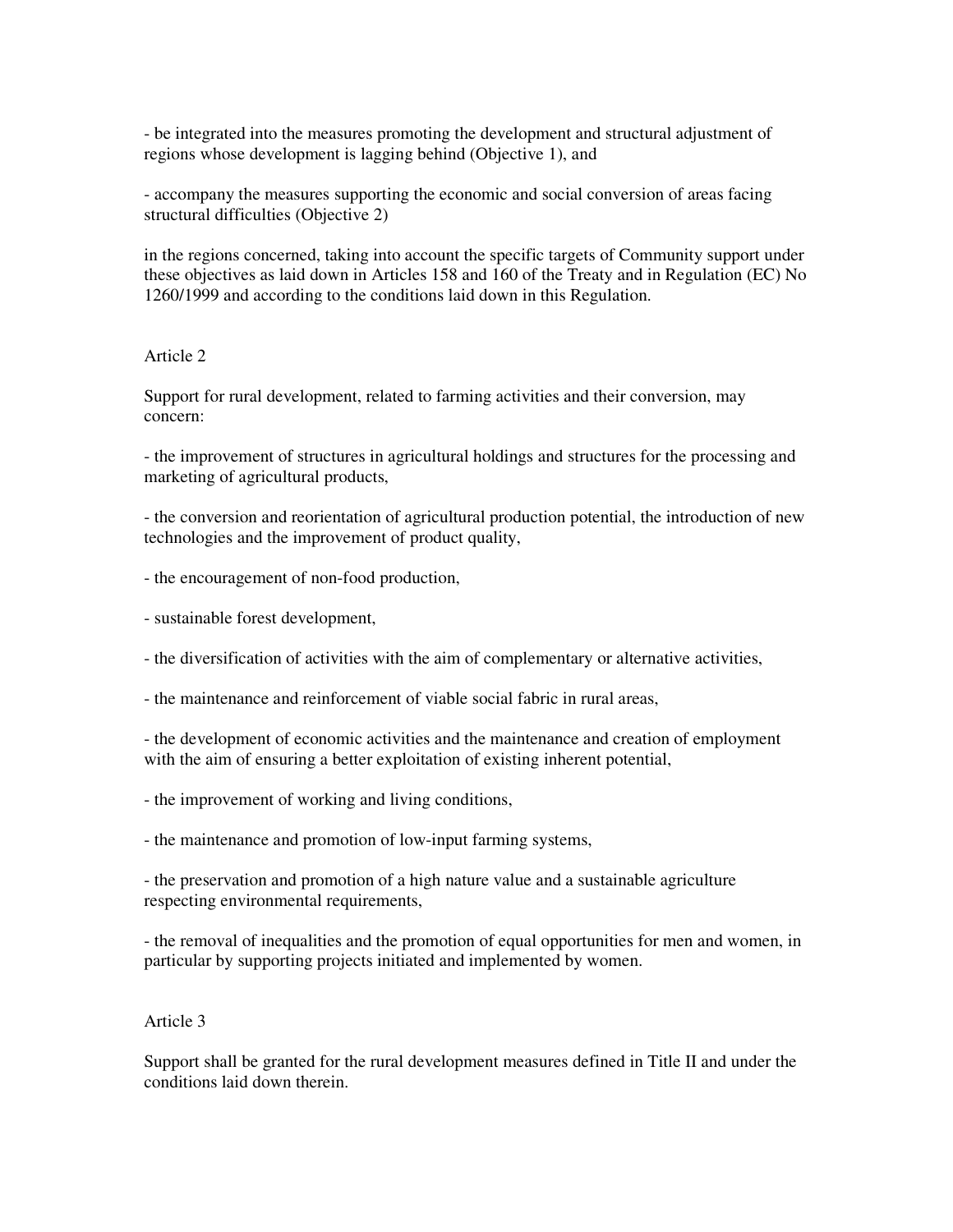- be integrated into the measures promoting the development and structural adjustment of regions whose development is lagging behind (Objective 1), and

- accompany the measures supporting the economic and social conversion of areas facing structural difficulties (Objective 2)

in the regions concerned, taking into account the specific targets of Community support under these objectives as laid down in Articles 158 and 160 of the Treaty and in Regulation (EC) No 1260/1999 and according to the conditions laid down in this Regulation.

### Article 2

Support for rural development, related to farming activities and their conversion, may concern:

- the improvement of structures in agricultural holdings and structures for the processing and marketing of agricultural products,

- the conversion and reorientation of agricultural production potential, the introduction of new technologies and the improvement of product quality,

- the encouragement of non-food production,
- sustainable forest development,

- the diversification of activities with the aim of complementary or alternative activities,

- the maintenance and reinforcement of viable social fabric in rural areas,

- the development of economic activities and the maintenance and creation of employment with the aim of ensuring a better exploitation of existing inherent potential,

- the improvement of working and living conditions,

- the maintenance and promotion of low-input farming systems,

- the preservation and promotion of a high nature value and a sustainable agriculture respecting environmental requirements,

- the removal of inequalities and the promotion of equal opportunities for men and women, in particular by supporting projects initiated and implemented by women.

#### Article 3

Support shall be granted for the rural development measures defined in Title II and under the conditions laid down therein.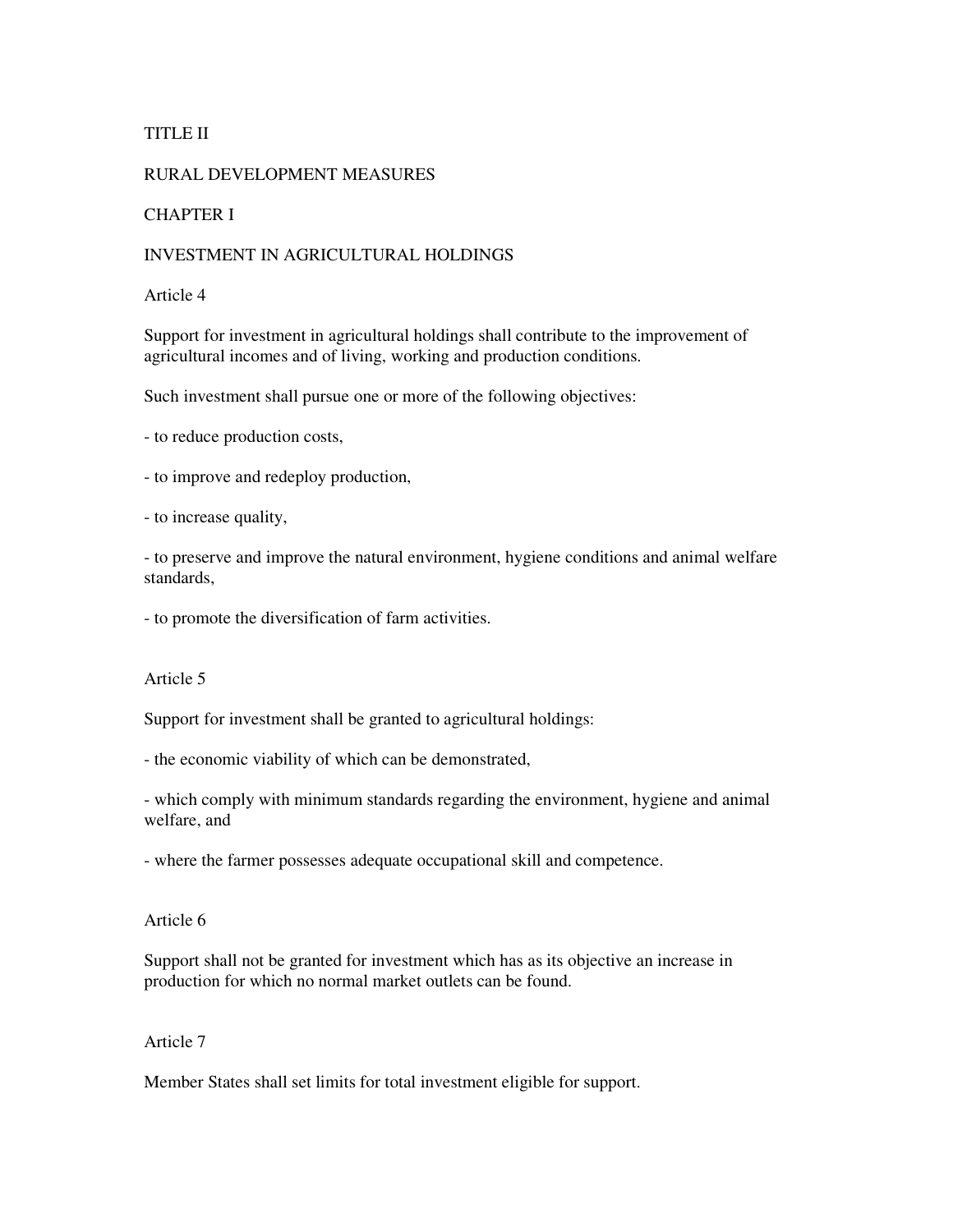## TITLE II

## RURAL DEVELOPMENT MEASURES

### CHAPTER I

### INVESTMENT IN AGRICULTURAL HOLDINGS

#### Article 4

Support for investment in agricultural holdings shall contribute to the improvement of agricultural incomes and of living, working and production conditions.

Such investment shall pursue one or more of the following objectives:

- to reduce production costs,

- to improve and redeploy production,

- to increase quality,

- to preserve and improve the natural environment, hygiene conditions and animal welfare standards,

- to promote the diversification of farm activities.

Article 5

Support for investment shall be granted to agricultural holdings:

- the economic viability of which can be demonstrated,

- which comply with minimum standards regarding the environment, hygiene and animal welfare, and

- where the farmer possesses adequate occupational skill and competence.

Article 6

Support shall not be granted for investment which has as its objective an increase in production for which no normal market outlets can be found.

Article 7

Member States shall set limits for total investment eligible for support.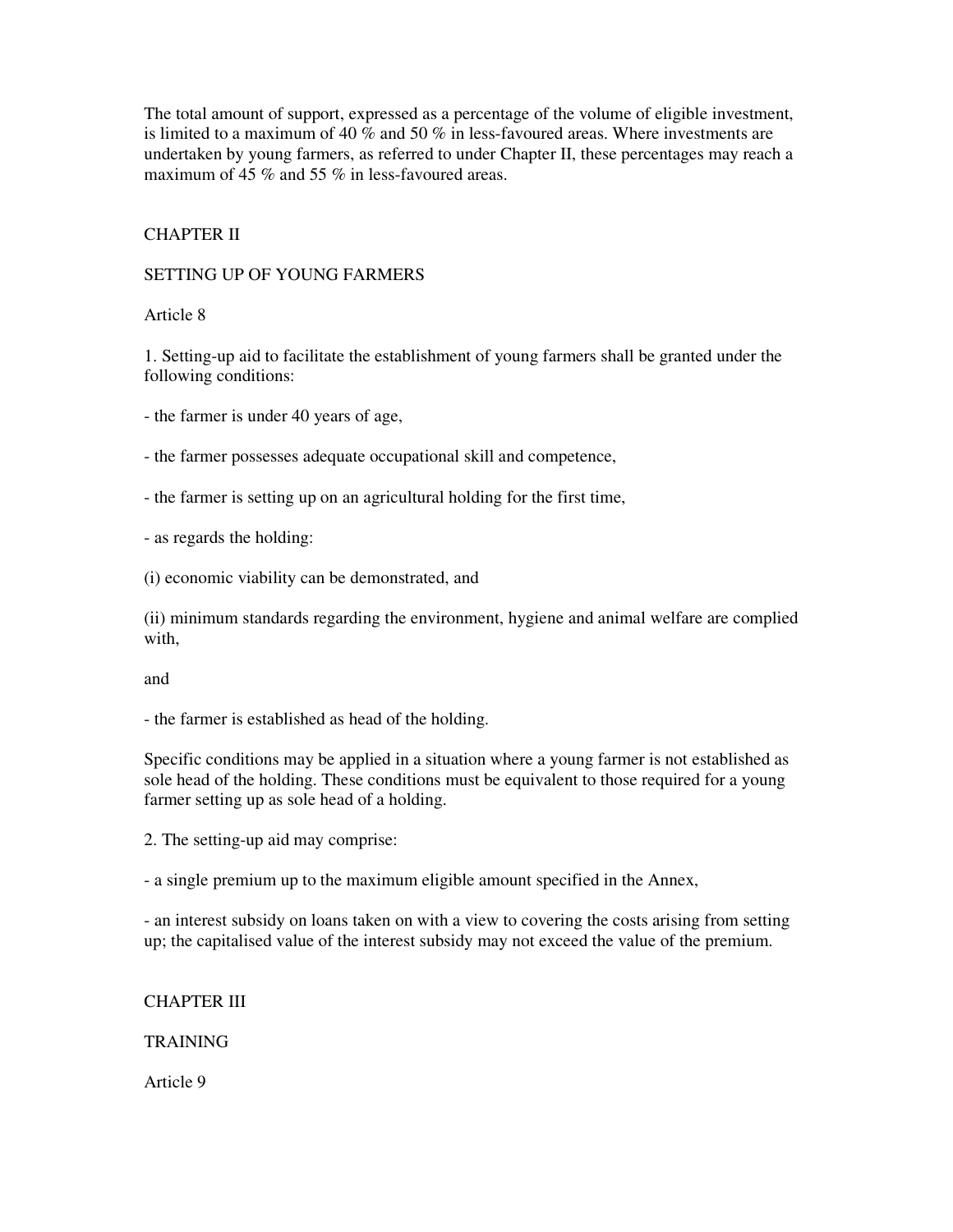The total amount of support, expressed as a percentage of the volume of eligible investment, is limited to a maximum of 40 % and 50 % in less-favoured areas. Where investments are undertaken by young farmers, as referred to under Chapter II, these percentages may reach a maximum of 45 % and 55 % in less-favoured areas.

# CHAPTER II

## SETTING UP OF YOUNG FARMERS

Article 8

1. Setting-up aid to facilitate the establishment of young farmers shall be granted under the following conditions:

- the farmer is under 40 years of age,

- the farmer possesses adequate occupational skill and competence,

- the farmer is setting up on an agricultural holding for the first time,

- as regards the holding:

(i) economic viability can be demonstrated, and

(ii) minimum standards regarding the environment, hygiene and animal welfare are complied with,

and

- the farmer is established as head of the holding.

Specific conditions may be applied in a situation where a young farmer is not established as sole head of the holding. These conditions must be equivalent to those required for a young farmer setting up as sole head of a holding.

2. The setting-up aid may comprise:

- a single premium up to the maximum eligible amount specified in the Annex,

- an interest subsidy on loans taken on with a view to covering the costs arising from setting up; the capitalised value of the interest subsidy may not exceed the value of the premium.

# CHAPTER III

# **TRAINING**

Article 9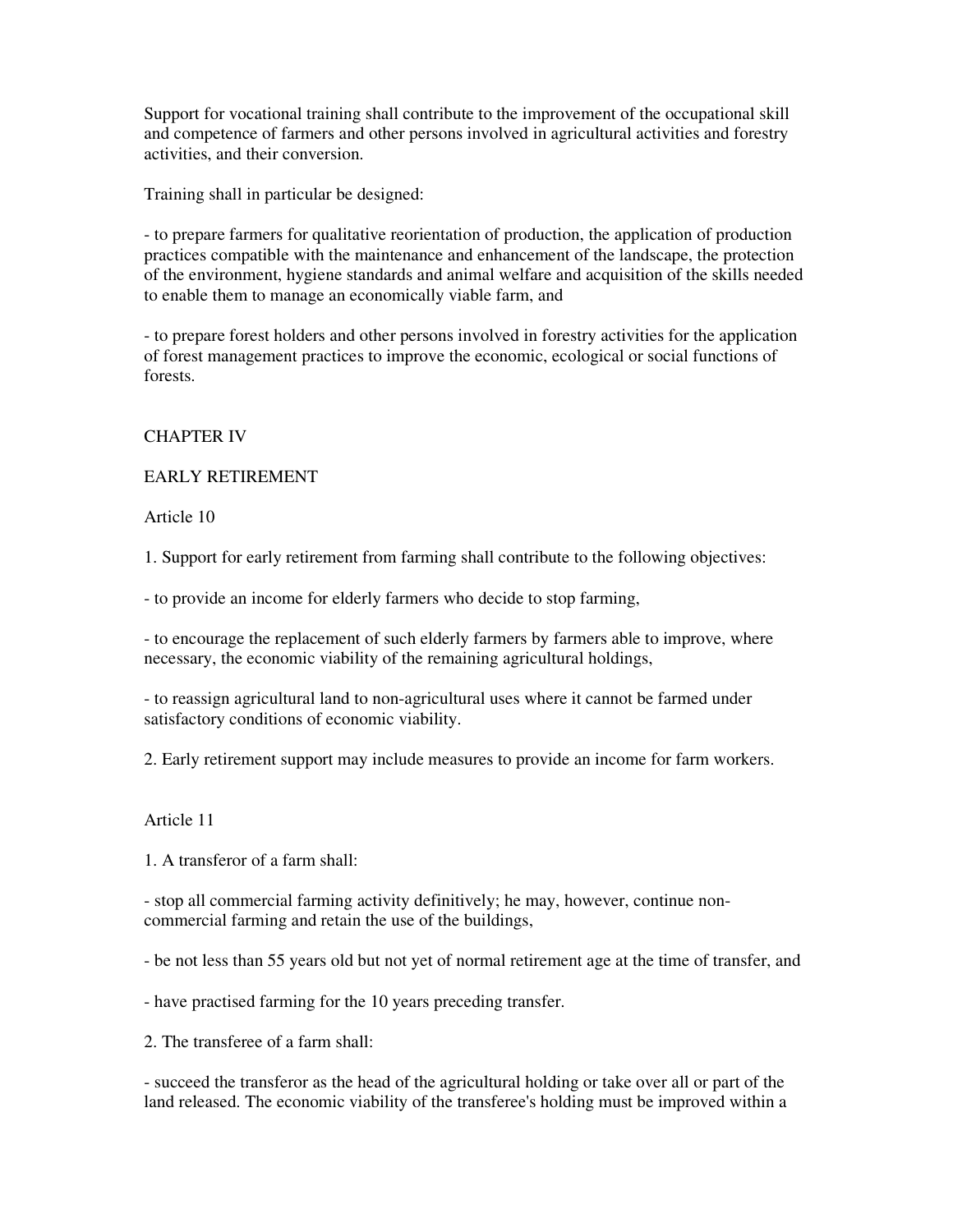Support for vocational training shall contribute to the improvement of the occupational skill and competence of farmers and other persons involved in agricultural activities and forestry activities, and their conversion.

Training shall in particular be designed:

- to prepare farmers for qualitative reorientation of production, the application of production practices compatible with the maintenance and enhancement of the landscape, the protection of the environment, hygiene standards and animal welfare and acquisition of the skills needed to enable them to manage an economically viable farm, and

- to prepare forest holders and other persons involved in forestry activities for the application of forest management practices to improve the economic, ecological or social functions of forests.

# CHAPTER IV

## EARLY RETIREMENT

Article 10

1. Support for early retirement from farming shall contribute to the following objectives:

- to provide an income for elderly farmers who decide to stop farming,

- to encourage the replacement of such elderly farmers by farmers able to improve, where necessary, the economic viability of the remaining agricultural holdings,

- to reassign agricultural land to non-agricultural uses where it cannot be farmed under satisfactory conditions of economic viability.

2. Early retirement support may include measures to provide an income for farm workers.

## Article 11

1. A transferor of a farm shall:

- stop all commercial farming activity definitively; he may, however, continue noncommercial farming and retain the use of the buildings,

- be not less than 55 years old but not yet of normal retirement age at the time of transfer, and

- have practised farming for the 10 years preceding transfer.

2. The transferee of a farm shall:

- succeed the transferor as the head of the agricultural holding or take over all or part of the land released. The economic viability of the transferee's holding must be improved within a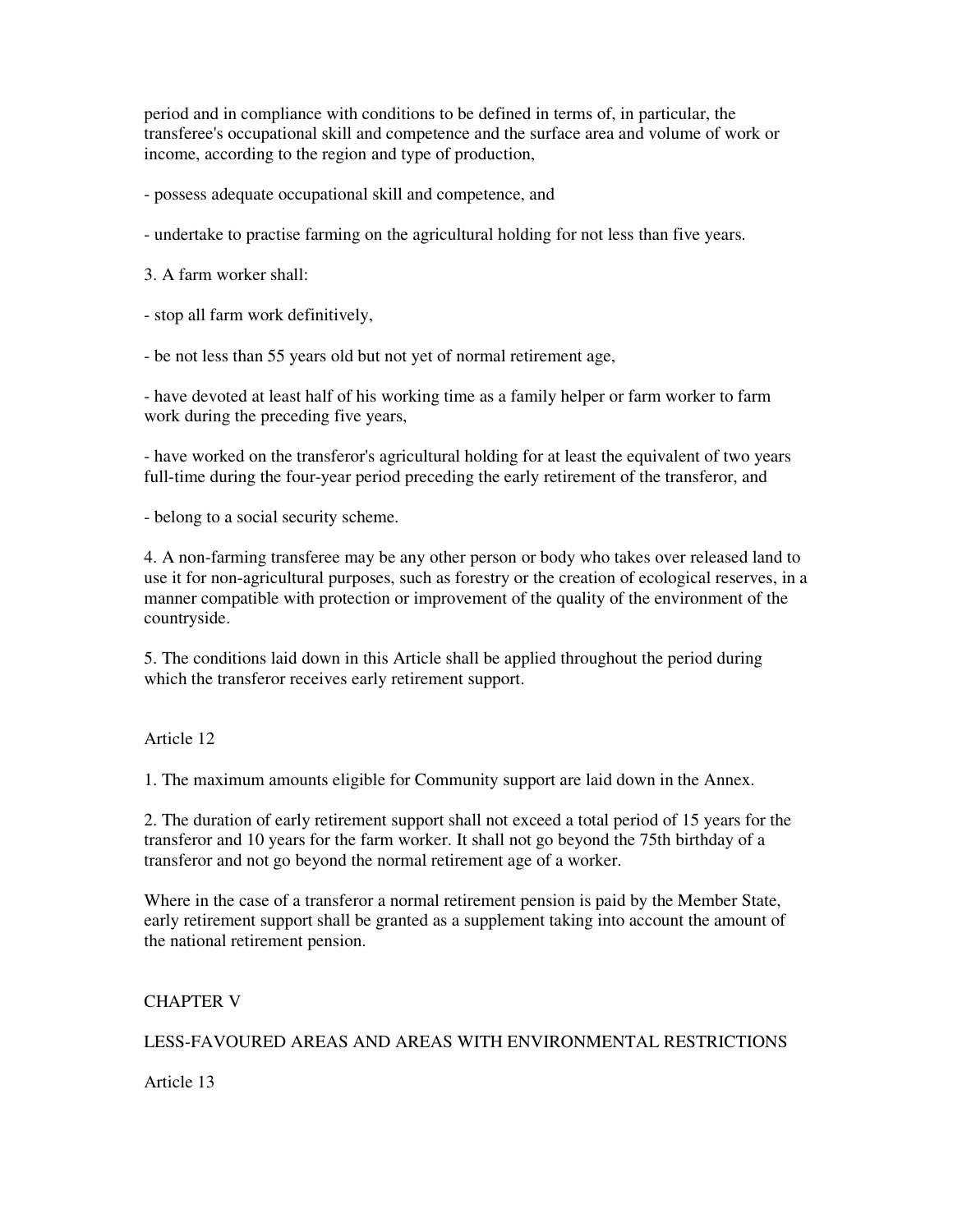period and in compliance with conditions to be defined in terms of, in particular, the transferee's occupational skill and competence and the surface area and volume of work or income, according to the region and type of production,

- possess adequate occupational skill and competence, and

- undertake to practise farming on the agricultural holding for not less than five years.

3. A farm worker shall:

- stop all farm work definitively,

- be not less than 55 years old but not yet of normal retirement age,

- have devoted at least half of his working time as a family helper or farm worker to farm work during the preceding five years,

- have worked on the transferor's agricultural holding for at least the equivalent of two years full-time during the four-year period preceding the early retirement of the transferor, and

- belong to a social security scheme.

4. A non-farming transferee may be any other person or body who takes over released land to use it for non-agricultural purposes, such as forestry or the creation of ecological reserves, in a manner compatible with protection or improvement of the quality of the environment of the countryside.

5. The conditions laid down in this Article shall be applied throughout the period during which the transferor receives early retirement support.

Article 12

1. The maximum amounts eligible for Community support are laid down in the Annex.

2. The duration of early retirement support shall not exceed a total period of 15 years for the transferor and 10 years for the farm worker. It shall not go beyond the 75th birthday of a transferor and not go beyond the normal retirement age of a worker.

Where in the case of a transferor a normal retirement pension is paid by the Member State, early retirement support shall be granted as a supplement taking into account the amount of the national retirement pension.

# CHAPTER V

# LESS-FAVOURED AREAS AND AREAS WITH ENVIRONMENTAL RESTRICTIONS

Article 13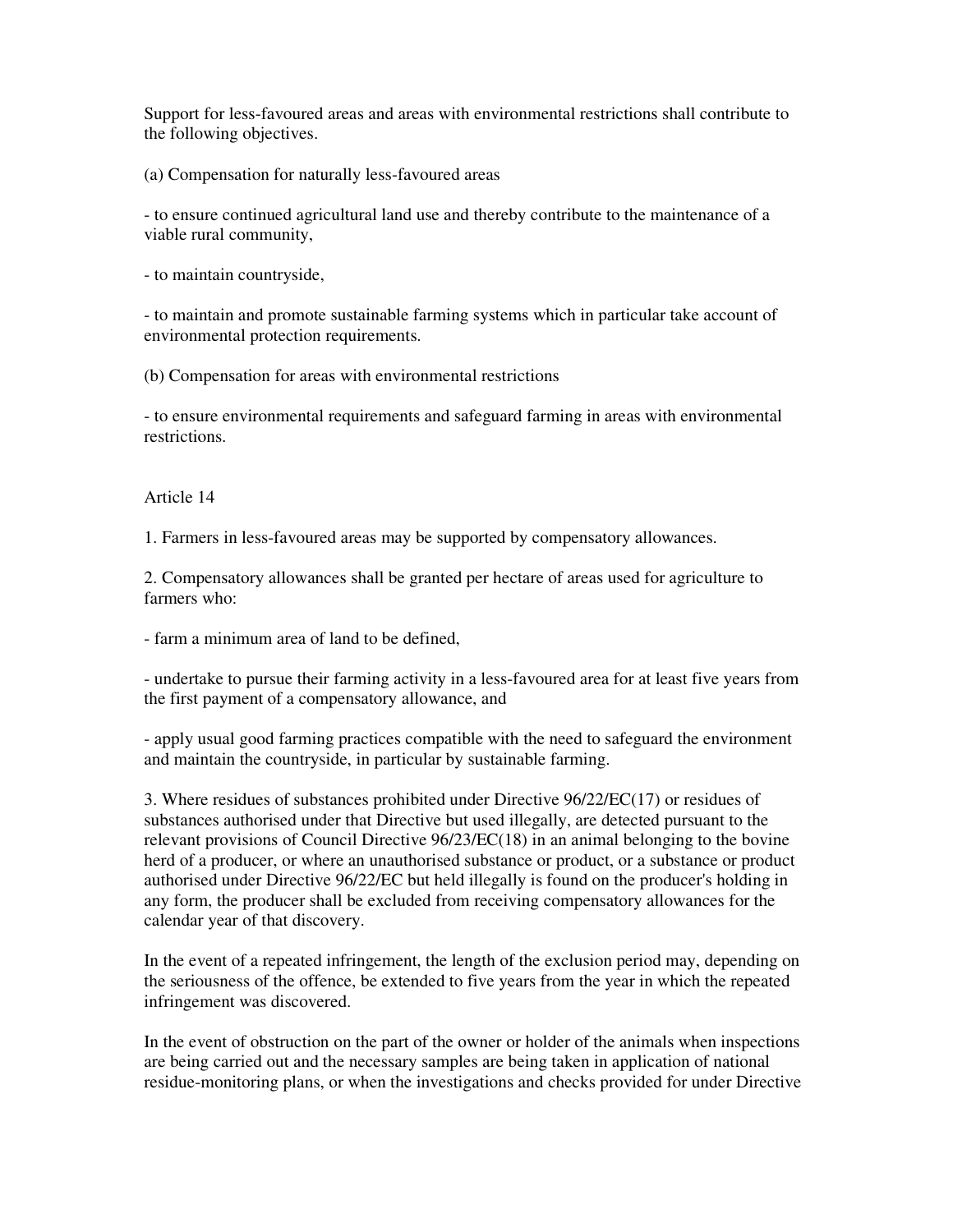Support for less-favoured areas and areas with environmental restrictions shall contribute to the following objectives.

(a) Compensation for naturally less-favoured areas

- to ensure continued agricultural land use and thereby contribute to the maintenance of a viable rural community,

- to maintain countryside,

- to maintain and promote sustainable farming systems which in particular take account of environmental protection requirements.

(b) Compensation for areas with environmental restrictions

- to ensure environmental requirements and safeguard farming in areas with environmental restrictions.

Article 14

1. Farmers in less-favoured areas may be supported by compensatory allowances.

2. Compensatory allowances shall be granted per hectare of areas used for agriculture to farmers who:

- farm a minimum area of land to be defined,

- undertake to pursue their farming activity in a less-favoured area for at least five years from the first payment of a compensatory allowance, and

- apply usual good farming practices compatible with the need to safeguard the environment and maintain the countryside, in particular by sustainable farming.

3. Where residues of substances prohibited under Directive 96/22/EC(17) or residues of substances authorised under that Directive but used illegally, are detected pursuant to the relevant provisions of Council Directive 96/23/EC(18) in an animal belonging to the bovine herd of a producer, or where an unauthorised substance or product, or a substance or product authorised under Directive 96/22/EC but held illegally is found on the producer's holding in any form, the producer shall be excluded from receiving compensatory allowances for the calendar year of that discovery.

In the event of a repeated infringement, the length of the exclusion period may, depending on the seriousness of the offence, be extended to five years from the year in which the repeated infringement was discovered.

In the event of obstruction on the part of the owner or holder of the animals when inspections are being carried out and the necessary samples are being taken in application of national residue-monitoring plans, or when the investigations and checks provided for under Directive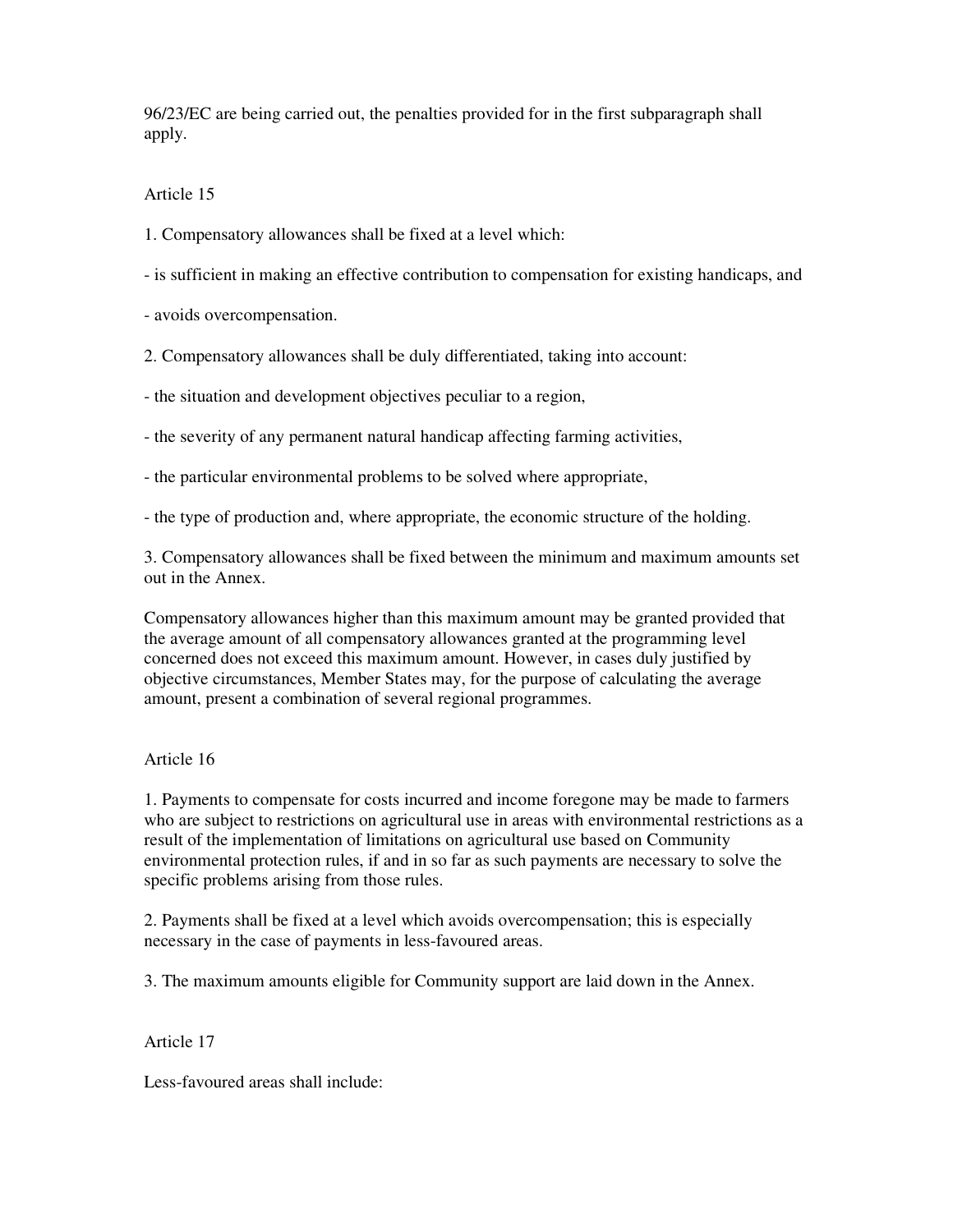96/23/EC are being carried out, the penalties provided for in the first subparagraph shall apply.

## Article 15

1. Compensatory allowances shall be fixed at a level which:

- is sufficient in making an effective contribution to compensation for existing handicaps, and

- avoids overcompensation.

2. Compensatory allowances shall be duly differentiated, taking into account:

- the situation and development objectives peculiar to a region,

- the severity of any permanent natural handicap affecting farming activities,

- the particular environmental problems to be solved where appropriate,

- the type of production and, where appropriate, the economic structure of the holding.

3. Compensatory allowances shall be fixed between the minimum and maximum amounts set out in the Annex.

Compensatory allowances higher than this maximum amount may be granted provided that the average amount of all compensatory allowances granted at the programming level concerned does not exceed this maximum amount. However, in cases duly justified by objective circumstances, Member States may, for the purpose of calculating the average amount, present a combination of several regional programmes.

## Article 16

1. Payments to compensate for costs incurred and income foregone may be made to farmers who are subject to restrictions on agricultural use in areas with environmental restrictions as a result of the implementation of limitations on agricultural use based on Community environmental protection rules, if and in so far as such payments are necessary to solve the specific problems arising from those rules.

2. Payments shall be fixed at a level which avoids overcompensation; this is especially necessary in the case of payments in less-favoured areas.

3. The maximum amounts eligible for Community support are laid down in the Annex.

Article 17

Less-favoured areas shall include: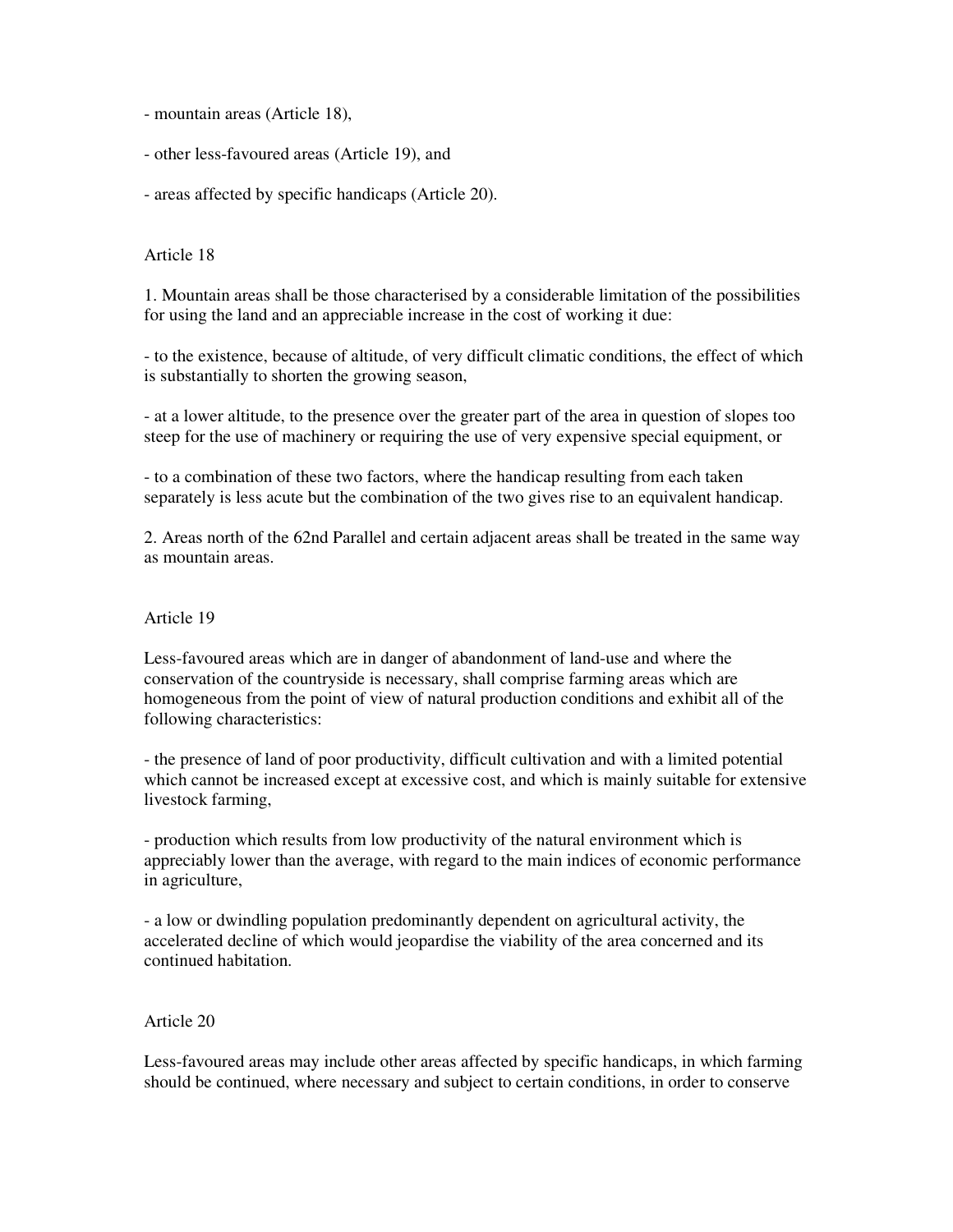- mountain areas (Article 18),
- other less-favoured areas (Article 19), and
- areas affected by specific handicaps (Article 20).

#### Article 18

1. Mountain areas shall be those characterised by a considerable limitation of the possibilities for using the land and an appreciable increase in the cost of working it due:

- to the existence, because of altitude, of very difficult climatic conditions, the effect of which is substantially to shorten the growing season,

- at a lower altitude, to the presence over the greater part of the area in question of slopes too steep for the use of machinery or requiring the use of very expensive special equipment, or

- to a combination of these two factors, where the handicap resulting from each taken separately is less acute but the combination of the two gives rise to an equivalent handicap.

2. Areas north of the 62nd Parallel and certain adjacent areas shall be treated in the same way as mountain areas.

#### Article 19

Less-favoured areas which are in danger of abandonment of land-use and where the conservation of the countryside is necessary, shall comprise farming areas which are homogeneous from the point of view of natural production conditions and exhibit all of the following characteristics:

- the presence of land of poor productivity, difficult cultivation and with a limited potential which cannot be increased except at excessive cost, and which is mainly suitable for extensive livestock farming,

- production which results from low productivity of the natural environment which is appreciably lower than the average, with regard to the main indices of economic performance in agriculture,

- a low or dwindling population predominantly dependent on agricultural activity, the accelerated decline of which would jeopardise the viability of the area concerned and its continued habitation.

#### Article 20

Less-favoured areas may include other areas affected by specific handicaps, in which farming should be continued, where necessary and subject to certain conditions, in order to conserve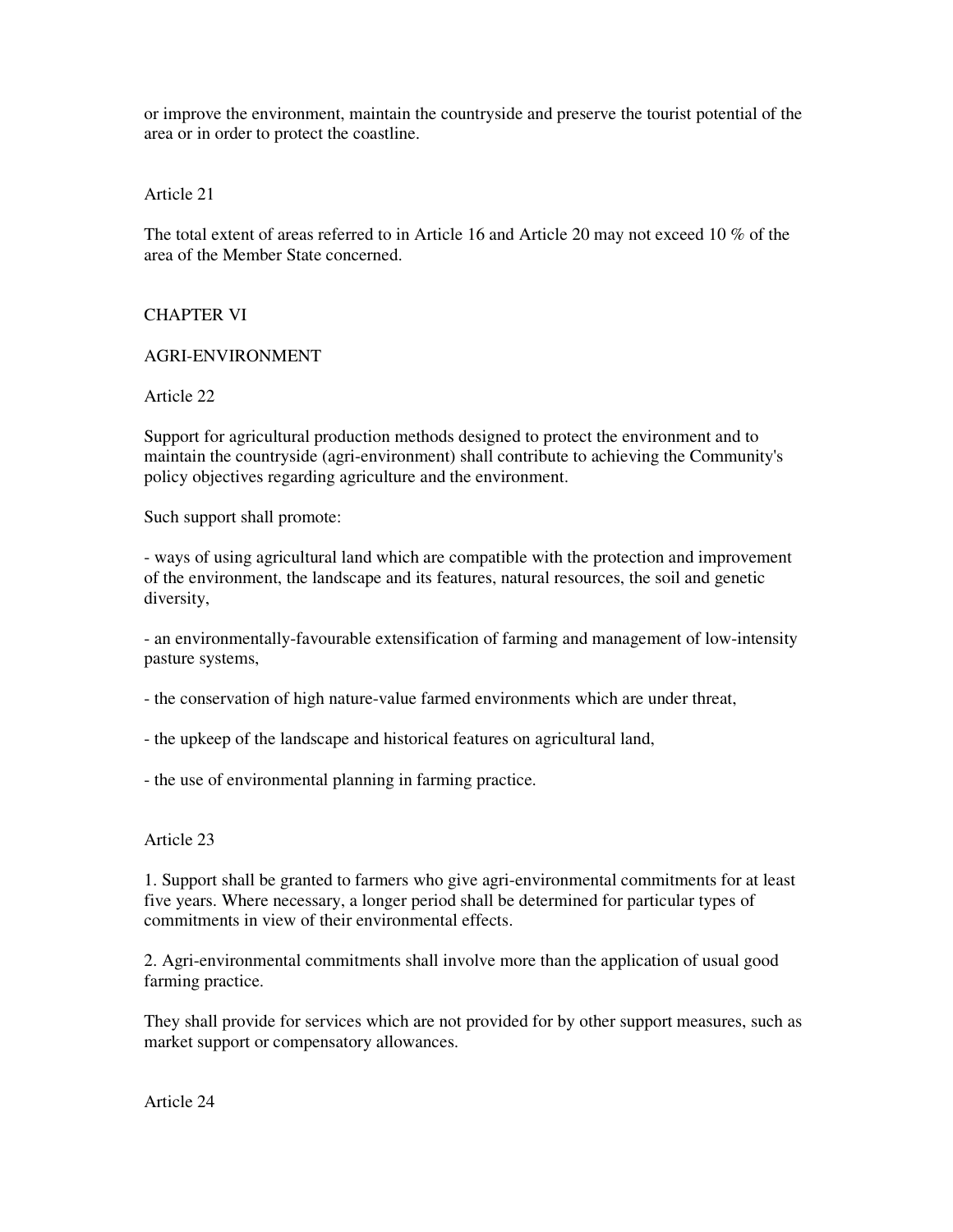or improve the environment, maintain the countryside and preserve the tourist potential of the area or in order to protect the coastline.

Article 21

The total extent of areas referred to in Article 16 and Article 20 may not exceed 10 % of the area of the Member State concerned.

## CHAPTER VI

### AGRI-ENVIRONMENT

Article 22

Support for agricultural production methods designed to protect the environment and to maintain the countryside (agri-environment) shall contribute to achieving the Community's policy objectives regarding agriculture and the environment.

Such support shall promote:

- ways of using agricultural land which are compatible with the protection and improvement of the environment, the landscape and its features, natural resources, the soil and genetic diversity,

- an environmentally-favourable extensification of farming and management of low-intensity pasture systems,

- the conservation of high nature-value farmed environments which are under threat,

- the upkeep of the landscape and historical features on agricultural land,

- the use of environmental planning in farming practice.

#### Article 23

1. Support shall be granted to farmers who give agri-environmental commitments for at least five years. Where necessary, a longer period shall be determined for particular types of commitments in view of their environmental effects.

2. Agri-environmental commitments shall involve more than the application of usual good farming practice.

They shall provide for services which are not provided for by other support measures, such as market support or compensatory allowances.

Article 24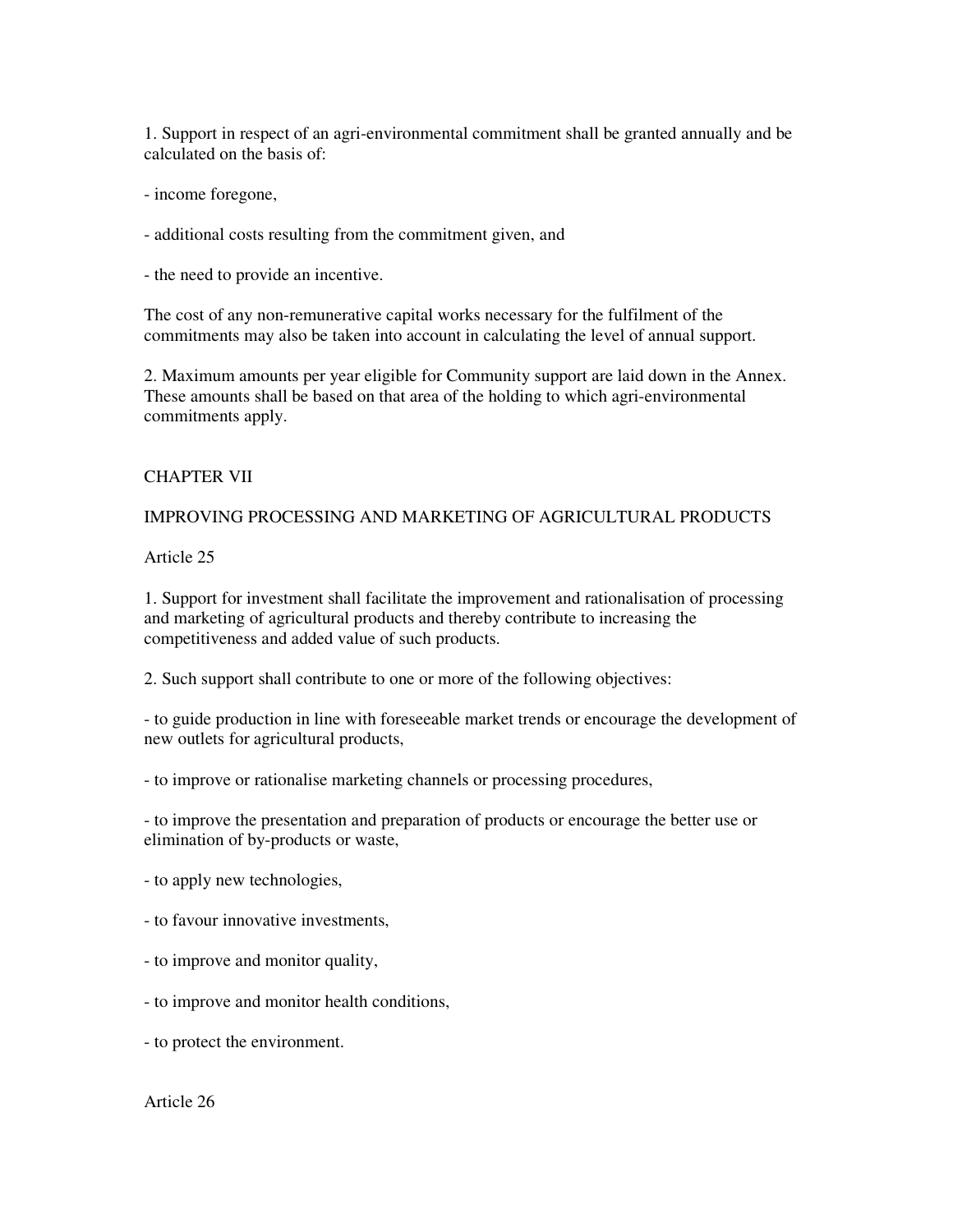1. Support in respect of an agri-environmental commitment shall be granted annually and be calculated on the basis of:

- income foregone,

- additional costs resulting from the commitment given, and

- the need to provide an incentive.

The cost of any non-remunerative capital works necessary for the fulfilment of the commitments may also be taken into account in calculating the level of annual support.

2. Maximum amounts per year eligible for Community support are laid down in the Annex. These amounts shall be based on that area of the holding to which agri-environmental commitments apply.

### CHAPTER VII

IMPROVING PROCESSING AND MARKETING OF AGRICULTURAL PRODUCTS

Article 25

1. Support for investment shall facilitate the improvement and rationalisation of processing and marketing of agricultural products and thereby contribute to increasing the competitiveness and added value of such products.

2. Such support shall contribute to one or more of the following objectives:

- to guide production in line with foreseeable market trends or encourage the development of new outlets for agricultural products,

- to improve or rationalise marketing channels or processing procedures,

- to improve the presentation and preparation of products or encourage the better use or elimination of by-products or waste,

- to apply new technologies,
- to favour innovative investments,
- to improve and monitor quality,
- to improve and monitor health conditions,
- to protect the environment.

Article 26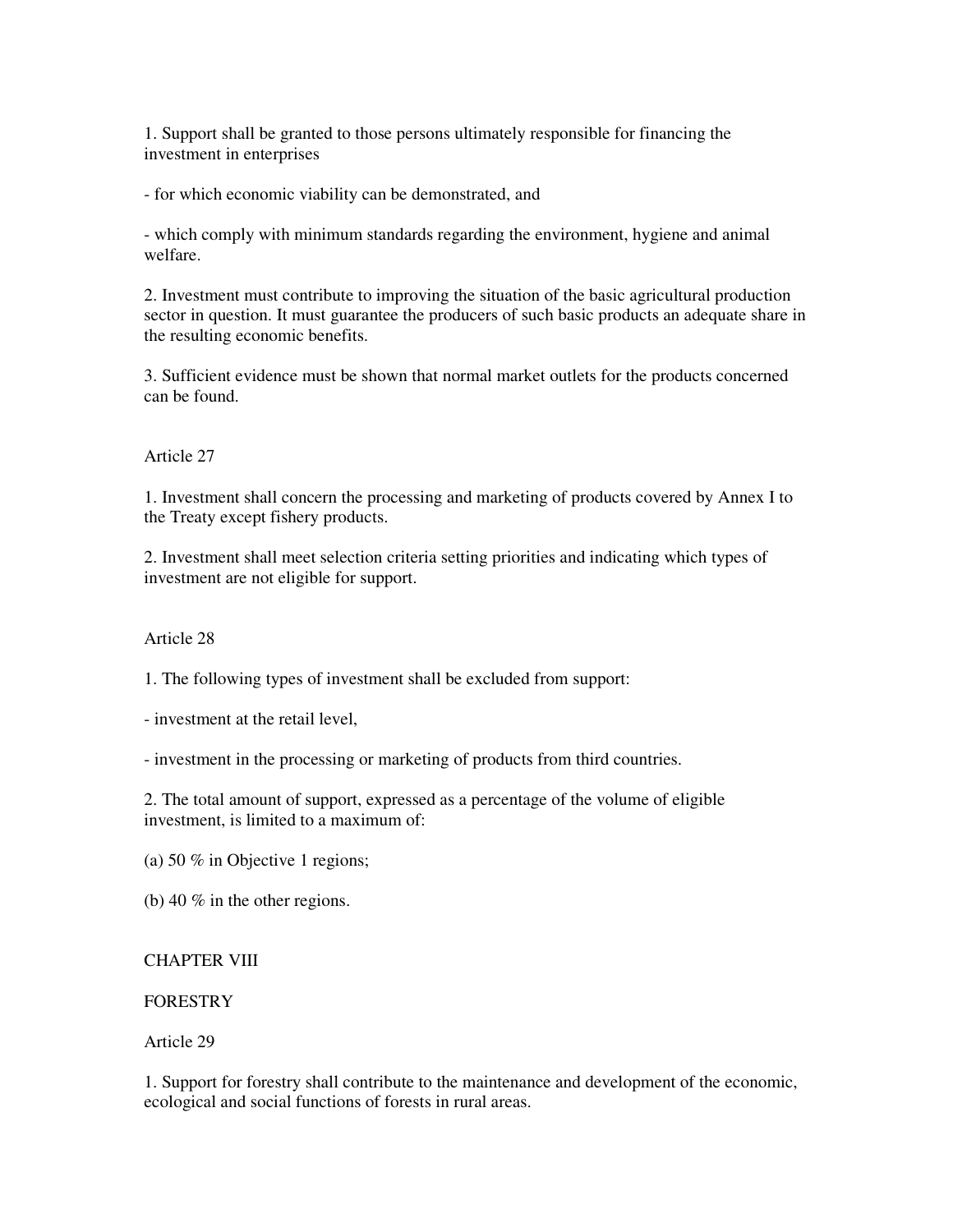1. Support shall be granted to those persons ultimately responsible for financing the investment in enterprises

- for which economic viability can be demonstrated, and

- which comply with minimum standards regarding the environment, hygiene and animal welfare.

2. Investment must contribute to improving the situation of the basic agricultural production sector in question. It must guarantee the producers of such basic products an adequate share in the resulting economic benefits.

3. Sufficient evidence must be shown that normal market outlets for the products concerned can be found.

## Article 27

1. Investment shall concern the processing and marketing of products covered by Annex I to the Treaty except fishery products.

2. Investment shall meet selection criteria setting priorities and indicating which types of investment are not eligible for support.

## Article 28

1. The following types of investment shall be excluded from support:

- investment at the retail level,

- investment in the processing or marketing of products from third countries.

2. The total amount of support, expressed as a percentage of the volume of eligible investment, is limited to a maximum of:

(a) 50 % in Objective 1 regions;

(b) 40 % in the other regions.

# CHAPTER VIII

# FORESTRY

Article 29

1. Support for forestry shall contribute to the maintenance and development of the economic, ecological and social functions of forests in rural areas.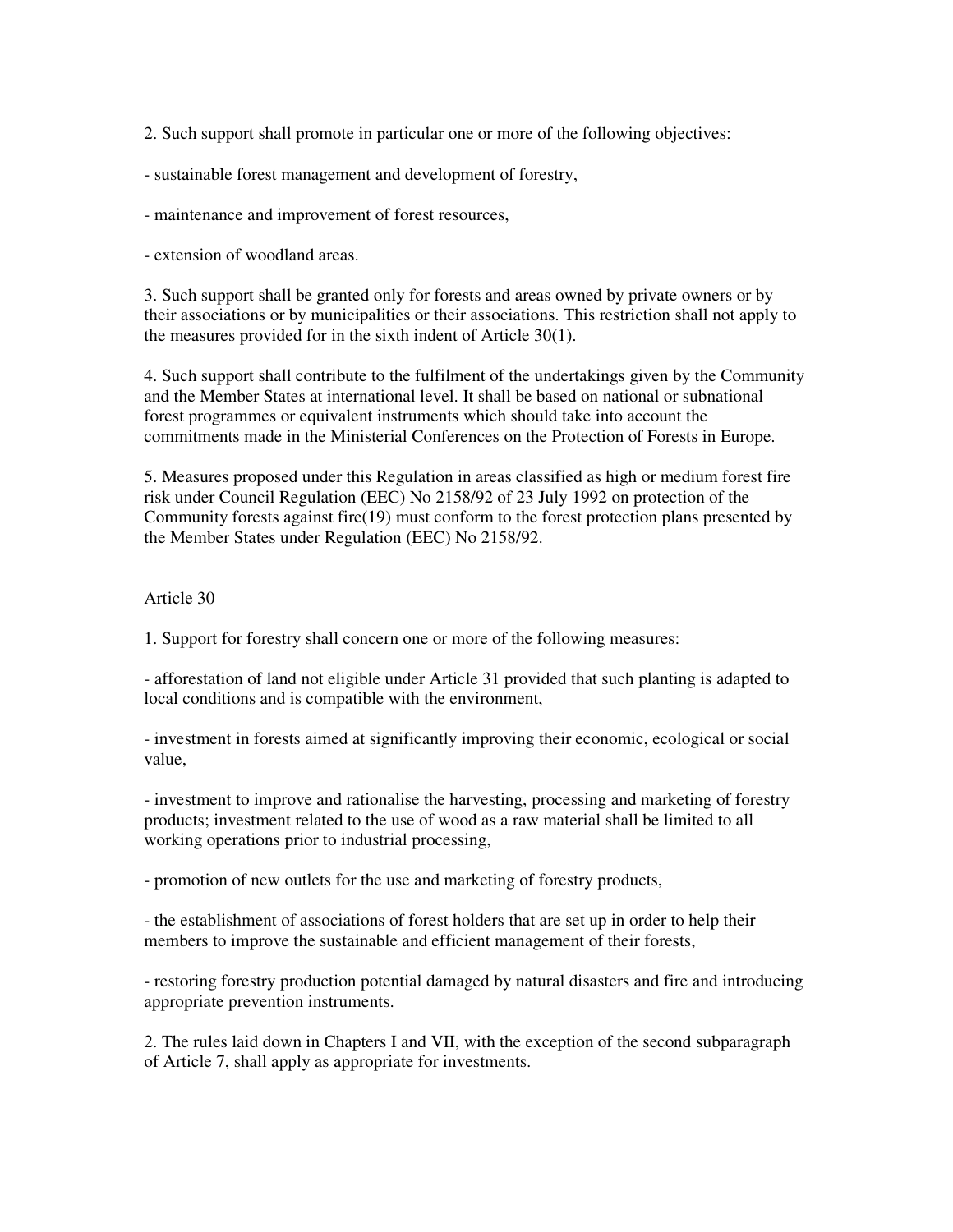2. Such support shall promote in particular one or more of the following objectives:

- sustainable forest management and development of forestry,

- maintenance and improvement of forest resources,

- extension of woodland areas.

3. Such support shall be granted only for forests and areas owned by private owners or by their associations or by municipalities or their associations. This restriction shall not apply to the measures provided for in the sixth indent of Article 30(1).

4. Such support shall contribute to the fulfilment of the undertakings given by the Community and the Member States at international level. It shall be based on national or subnational forest programmes or equivalent instruments which should take into account the commitments made in the Ministerial Conferences on the Protection of Forests in Europe.

5. Measures proposed under this Regulation in areas classified as high or medium forest fire risk under Council Regulation (EEC) No 2158/92 of 23 July 1992 on protection of the Community forests against fire(19) must conform to the forest protection plans presented by the Member States under Regulation (EEC) No 2158/92.

## Article 30

1. Support for forestry shall concern one or more of the following measures:

- afforestation of land not eligible under Article 31 provided that such planting is adapted to local conditions and is compatible with the environment,

- investment in forests aimed at significantly improving their economic, ecological or social value,

- investment to improve and rationalise the harvesting, processing and marketing of forestry products; investment related to the use of wood as a raw material shall be limited to all working operations prior to industrial processing,

- promotion of new outlets for the use and marketing of forestry products,

- the establishment of associations of forest holders that are set up in order to help their members to improve the sustainable and efficient management of their forests,

- restoring forestry production potential damaged by natural disasters and fire and introducing appropriate prevention instruments.

2. The rules laid down in Chapters I and VII, with the exception of the second subparagraph of Article 7, shall apply as appropriate for investments.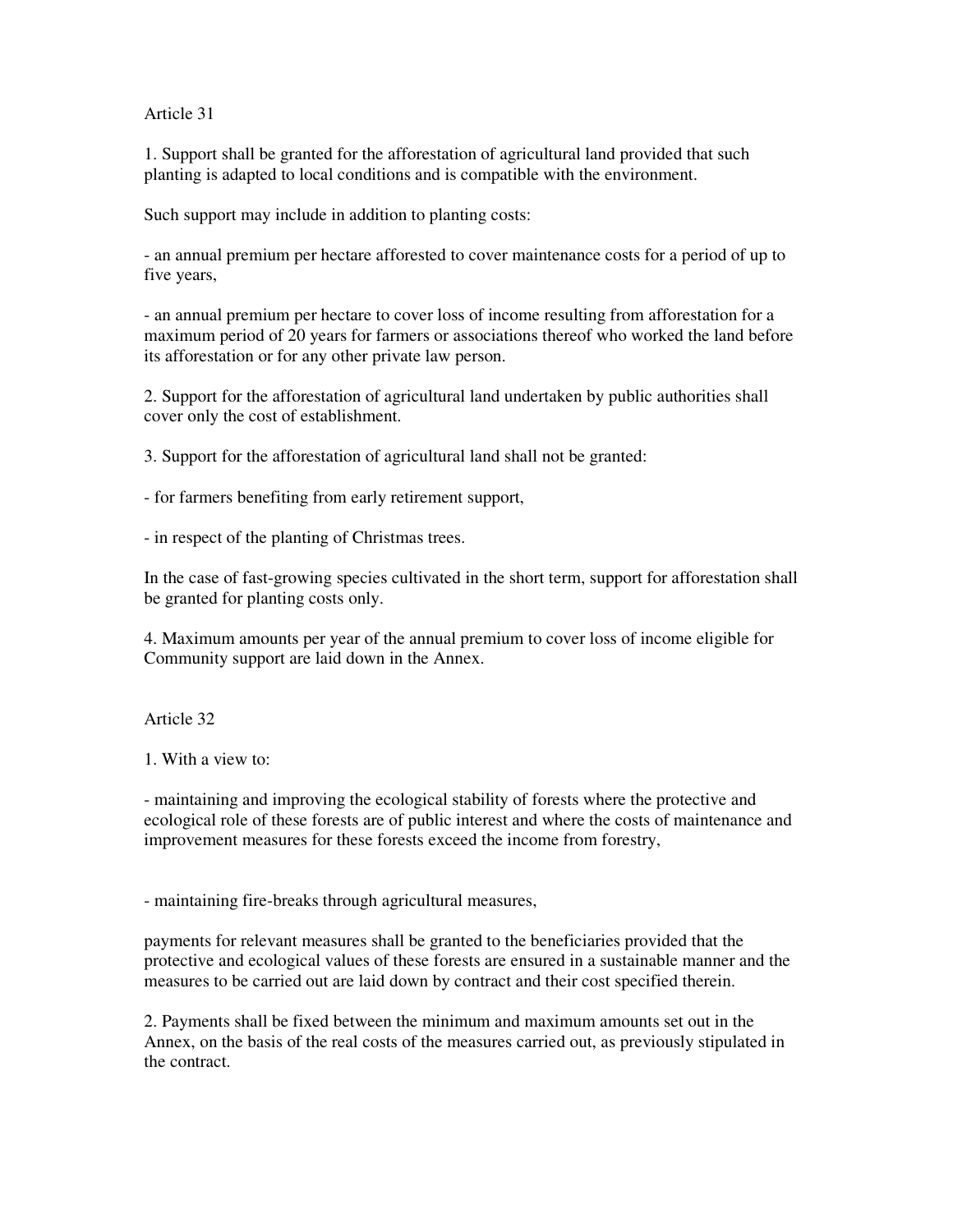Article 31

1. Support shall be granted for the afforestation of agricultural land provided that such planting is adapted to local conditions and is compatible with the environment.

Such support may include in addition to planting costs:

- an annual premium per hectare afforested to cover maintenance costs for a period of up to five years,

- an annual premium per hectare to cover loss of income resulting from afforestation for a maximum period of 20 years for farmers or associations thereof who worked the land before its afforestation or for any other private law person.

2. Support for the afforestation of agricultural land undertaken by public authorities shall cover only the cost of establishment.

3. Support for the afforestation of agricultural land shall not be granted:

- for farmers benefiting from early retirement support,

- in respect of the planting of Christmas trees.

In the case of fast-growing species cultivated in the short term, support for afforestation shall be granted for planting costs only.

4. Maximum amounts per year of the annual premium to cover loss of income eligible for Community support are laid down in the Annex.

Article 32

1. With a view to:

- maintaining and improving the ecological stability of forests where the protective and ecological role of these forests are of public interest and where the costs of maintenance and improvement measures for these forests exceed the income from forestry,

- maintaining fire-breaks through agricultural measures,

payments for relevant measures shall be granted to the beneficiaries provided that the protective and ecological values of these forests are ensured in a sustainable manner and the measures to be carried out are laid down by contract and their cost specified therein.

2. Payments shall be fixed between the minimum and maximum amounts set out in the Annex, on the basis of the real costs of the measures carried out, as previously stipulated in the contract.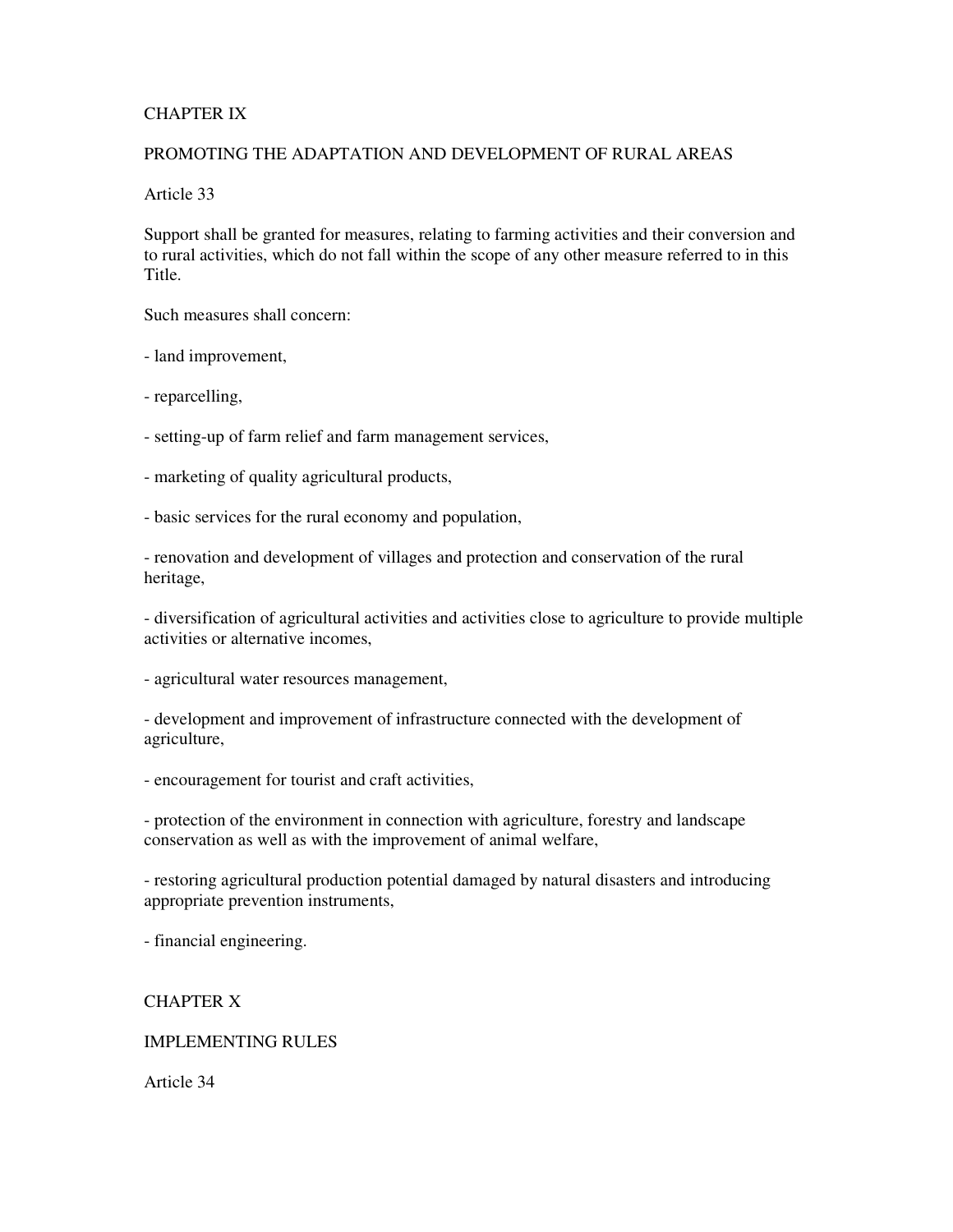## CHAPTER IX

# PROMOTING THE ADAPTATION AND DEVELOPMENT OF RURAL AREAS

Article 33

Support shall be granted for measures, relating to farming activities and their conversion and to rural activities, which do not fall within the scope of any other measure referred to in this Title.

Such measures shall concern:

- land improvement,

- reparcelling,

- setting-up of farm relief and farm management services,

- marketing of quality agricultural products,

- basic services for the rural economy and population,

- renovation and development of villages and protection and conservation of the rural heritage,

- diversification of agricultural activities and activities close to agriculture to provide multiple activities or alternative incomes,

- agricultural water resources management,

- development and improvement of infrastructure connected with the development of agriculture,

- encouragement for tourist and craft activities,

- protection of the environment in connection with agriculture, forestry and landscape conservation as well as with the improvement of animal welfare,

- restoring agricultural production potential damaged by natural disasters and introducing appropriate prevention instruments,

- financial engineering.

# CHAPTER X

## IMPLEMENTING RULES

Article 34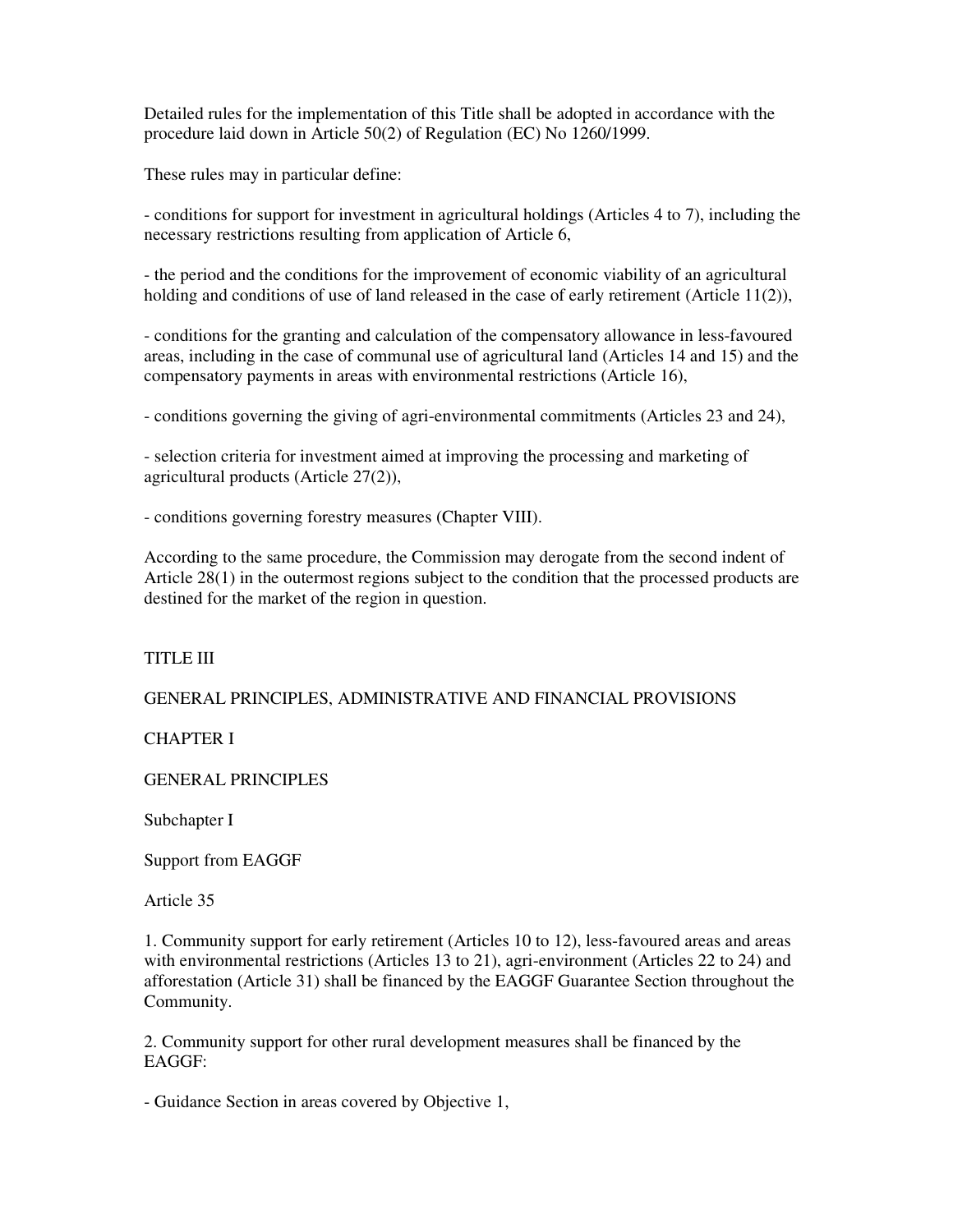Detailed rules for the implementation of this Title shall be adopted in accordance with the procedure laid down in Article 50(2) of Regulation (EC) No 1260/1999.

These rules may in particular define:

- conditions for support for investment in agricultural holdings (Articles 4 to 7), including the necessary restrictions resulting from application of Article 6,

- the period and the conditions for the improvement of economic viability of an agricultural holding and conditions of use of land released in the case of early retirement (Article  $11(2)$ ),

- conditions for the granting and calculation of the compensatory allowance in less-favoured areas, including in the case of communal use of agricultural land (Articles 14 and 15) and the compensatory payments in areas with environmental restrictions (Article 16),

- conditions governing the giving of agri-environmental commitments (Articles 23 and 24),

- selection criteria for investment aimed at improving the processing and marketing of agricultural products (Article 27(2)),

- conditions governing forestry measures (Chapter VIII).

According to the same procedure, the Commission may derogate from the second indent of Article 28(1) in the outermost regions subject to the condition that the processed products are destined for the market of the region in question.

TITLE III

GENERAL PRINCIPLES, ADMINISTRATIVE AND FINANCIAL PROVISIONS

CHAPTER I

GENERAL PRINCIPLES

Subchapter I

Support from EAGGF

Article 35

1. Community support for early retirement (Articles 10 to 12), less-favoured areas and areas with environmental restrictions (Articles 13 to 21), agri-environment (Articles 22 to 24) and afforestation (Article 31) shall be financed by the EAGGF Guarantee Section throughout the Community.

2. Community support for other rural development measures shall be financed by the EAGGF:

- Guidance Section in areas covered by Objective 1,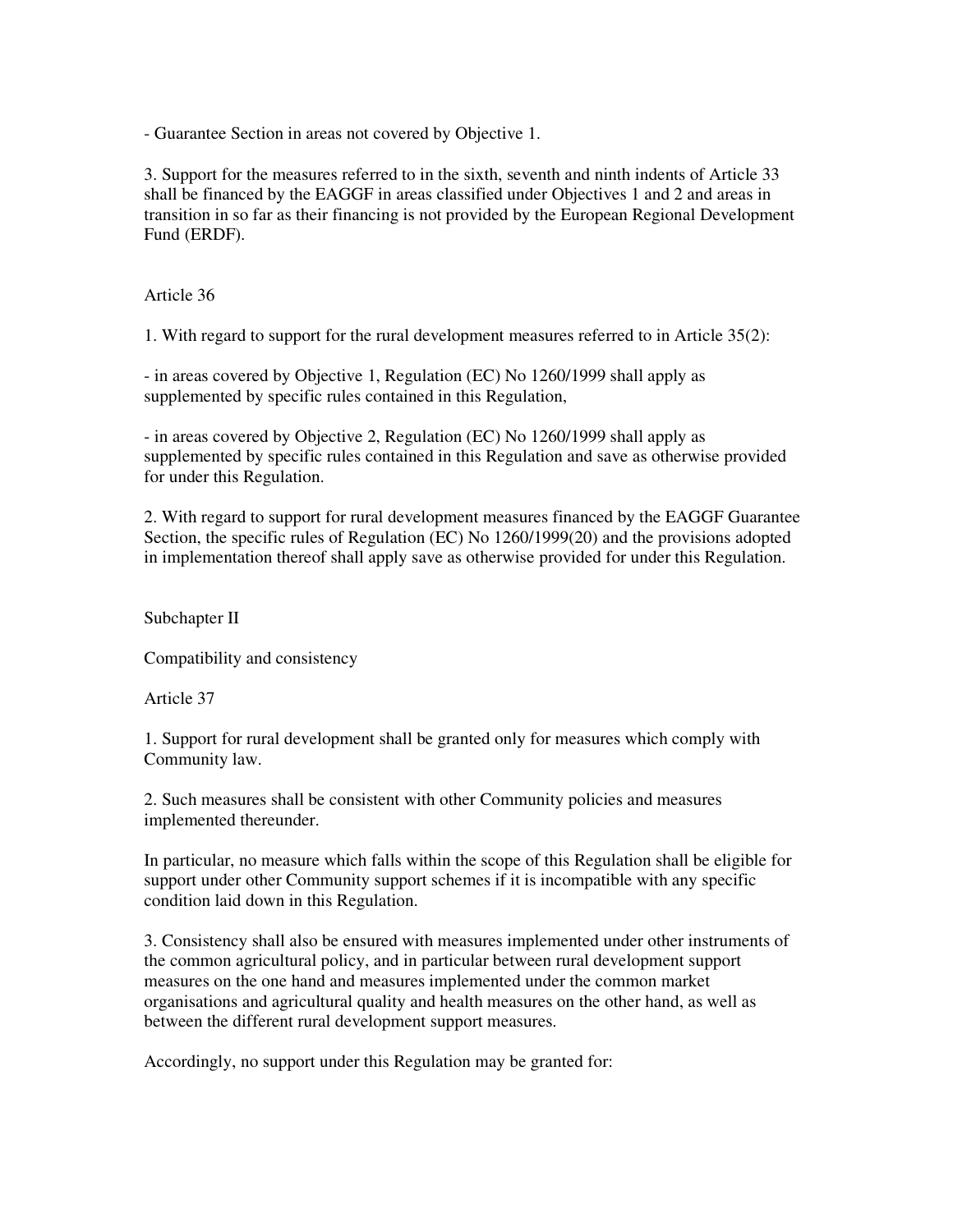- Guarantee Section in areas not covered by Objective 1.

3. Support for the measures referred to in the sixth, seventh and ninth indents of Article 33 shall be financed by the EAGGF in areas classified under Objectives 1 and 2 and areas in transition in so far as their financing is not provided by the European Regional Development Fund (ERDF).

Article 36

1. With regard to support for the rural development measures referred to in Article 35(2):

- in areas covered by Objective 1, Regulation (EC) No 1260/1999 shall apply as supplemented by specific rules contained in this Regulation,

- in areas covered by Objective 2, Regulation (EC) No 1260/1999 shall apply as supplemented by specific rules contained in this Regulation and save as otherwise provided for under this Regulation.

2. With regard to support for rural development measures financed by the EAGGF Guarantee Section, the specific rules of Regulation (EC) No 1260/1999(20) and the provisions adopted in implementation thereof shall apply save as otherwise provided for under this Regulation.

Subchapter II

Compatibility and consistency

Article 37

1. Support for rural development shall be granted only for measures which comply with Community law.

2. Such measures shall be consistent with other Community policies and measures implemented thereunder.

In particular, no measure which falls within the scope of this Regulation shall be eligible for support under other Community support schemes if it is incompatible with any specific condition laid down in this Regulation.

3. Consistency shall also be ensured with measures implemented under other instruments of the common agricultural policy, and in particular between rural development support measures on the one hand and measures implemented under the common market organisations and agricultural quality and health measures on the other hand, as well as between the different rural development support measures.

Accordingly, no support under this Regulation may be granted for: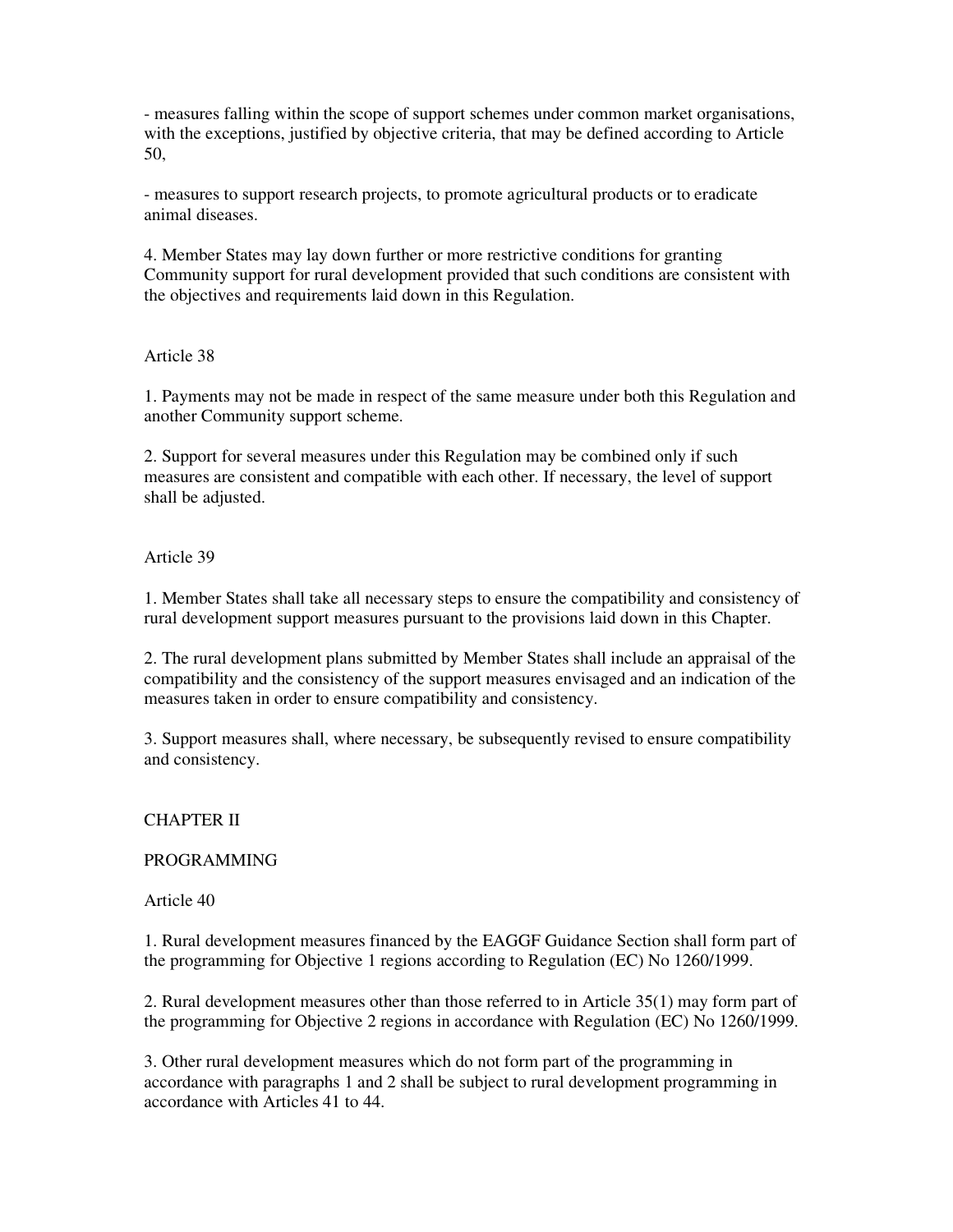- measures falling within the scope of support schemes under common market organisations, with the exceptions, justified by objective criteria, that may be defined according to Article 50,

- measures to support research projects, to promote agricultural products or to eradicate animal diseases.

4. Member States may lay down further or more restrictive conditions for granting Community support for rural development provided that such conditions are consistent with the objectives and requirements laid down in this Regulation.

### Article 38

1. Payments may not be made in respect of the same measure under both this Regulation and another Community support scheme.

2. Support for several measures under this Regulation may be combined only if such measures are consistent and compatible with each other. If necessary, the level of support shall be adjusted.

### Article 39

1. Member States shall take all necessary steps to ensure the compatibility and consistency of rural development support measures pursuant to the provisions laid down in this Chapter.

2. The rural development plans submitted by Member States shall include an appraisal of the compatibility and the consistency of the support measures envisaged and an indication of the measures taken in order to ensure compatibility and consistency.

3. Support measures shall, where necessary, be subsequently revised to ensure compatibility and consistency.

#### CHAPTER II

#### PROGRAMMING

Article 40

1. Rural development measures financed by the EAGGF Guidance Section shall form part of the programming for Objective 1 regions according to Regulation (EC) No 1260/1999.

2. Rural development measures other than those referred to in Article 35(1) may form part of the programming for Objective 2 regions in accordance with Regulation (EC) No 1260/1999.

3. Other rural development measures which do not form part of the programming in accordance with paragraphs 1 and 2 shall be subject to rural development programming in accordance with Articles 41 to 44.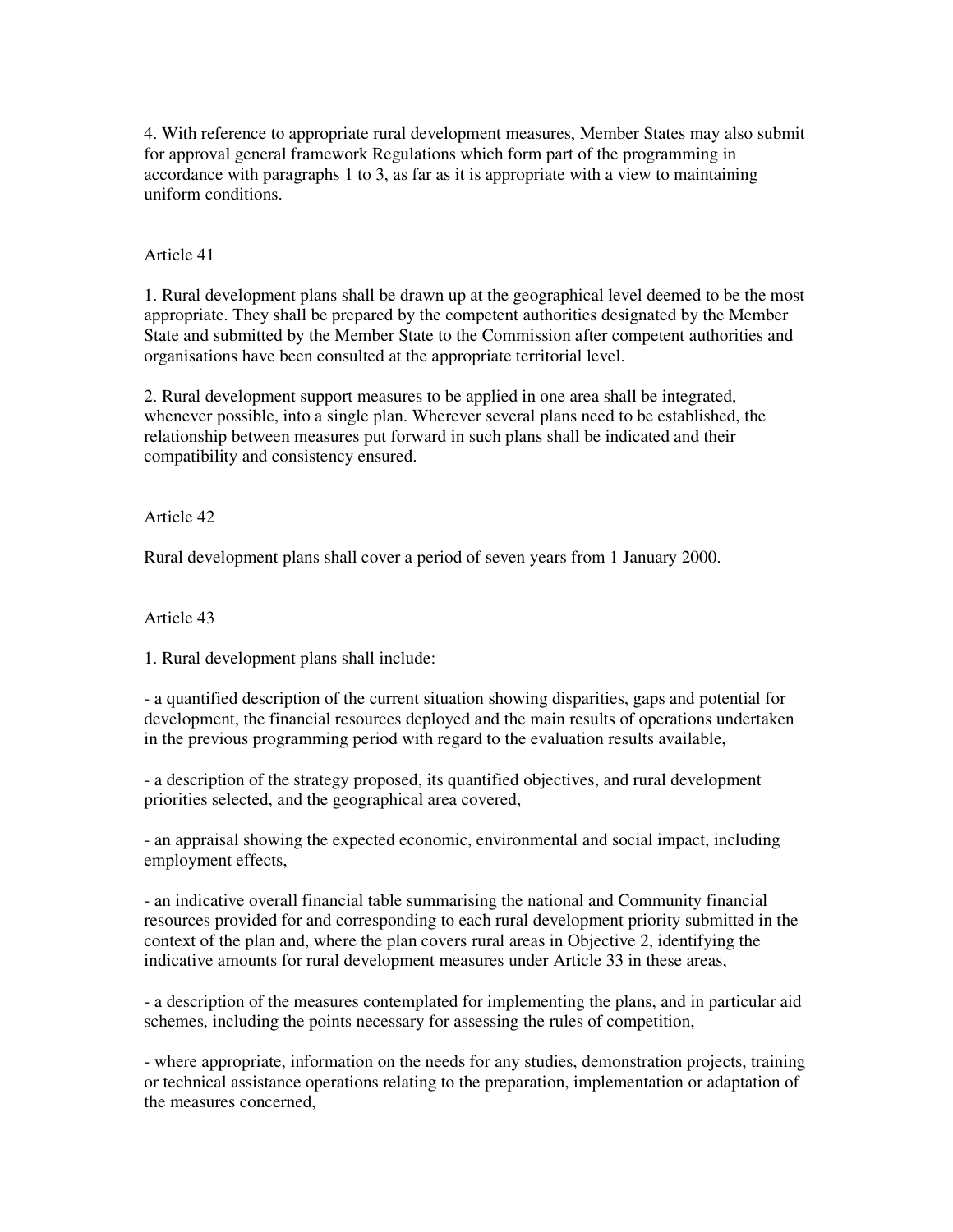4. With reference to appropriate rural development measures, Member States may also submit for approval general framework Regulations which form part of the programming in accordance with paragraphs 1 to 3, as far as it is appropriate with a view to maintaining uniform conditions.

## Article 41

1. Rural development plans shall be drawn up at the geographical level deemed to be the most appropriate. They shall be prepared by the competent authorities designated by the Member State and submitted by the Member State to the Commission after competent authorities and organisations have been consulted at the appropriate territorial level.

2. Rural development support measures to be applied in one area shall be integrated, whenever possible, into a single plan. Wherever several plans need to be established, the relationship between measures put forward in such plans shall be indicated and their compatibility and consistency ensured.

Article 42

Rural development plans shall cover a period of seven years from 1 January 2000.

Article 43

1. Rural development plans shall include:

- a quantified description of the current situation showing disparities, gaps and potential for development, the financial resources deployed and the main results of operations undertaken in the previous programming period with regard to the evaluation results available,

- a description of the strategy proposed, its quantified objectives, and rural development priorities selected, and the geographical area covered,

- an appraisal showing the expected economic, environmental and social impact, including employment effects,

- an indicative overall financial table summarising the national and Community financial resources provided for and corresponding to each rural development priority submitted in the context of the plan and, where the plan covers rural areas in Objective 2, identifying the indicative amounts for rural development measures under Article 33 in these areas,

- a description of the measures contemplated for implementing the plans, and in particular aid schemes, including the points necessary for assessing the rules of competition,

- where appropriate, information on the needs for any studies, demonstration projects, training or technical assistance operations relating to the preparation, implementation or adaptation of the measures concerned,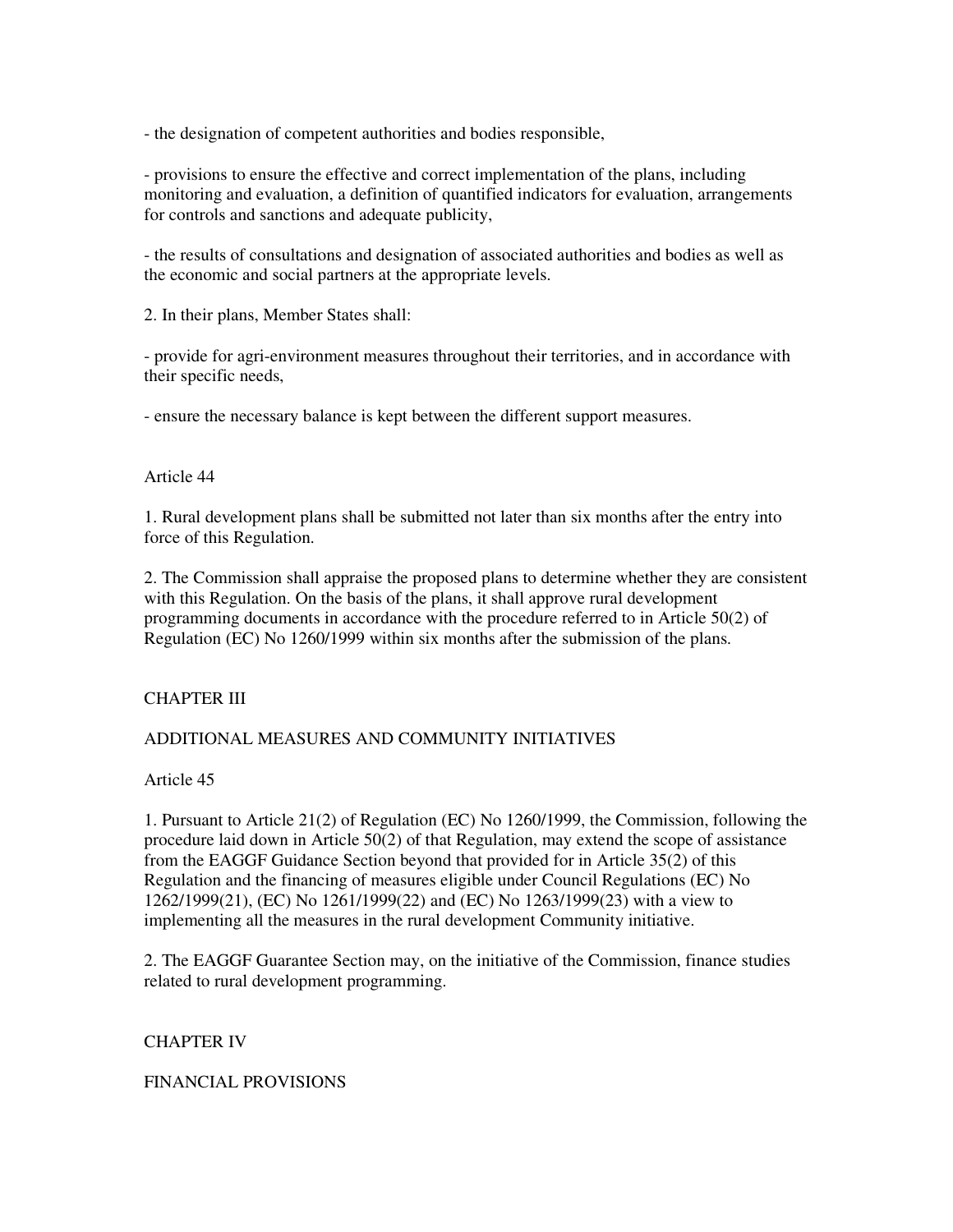- the designation of competent authorities and bodies responsible,

- provisions to ensure the effective and correct implementation of the plans, including monitoring and evaluation, a definition of quantified indicators for evaluation, arrangements for controls and sanctions and adequate publicity,

- the results of consultations and designation of associated authorities and bodies as well as the economic and social partners at the appropriate levels.

2. In their plans, Member States shall:

- provide for agri-environment measures throughout their territories, and in accordance with their specific needs,

- ensure the necessary balance is kept between the different support measures.

### Article 44

1. Rural development plans shall be submitted not later than six months after the entry into force of this Regulation.

2. The Commission shall appraise the proposed plans to determine whether they are consistent with this Regulation. On the basis of the plans, it shall approve rural development programming documents in accordance with the procedure referred to in Article 50(2) of Regulation (EC) No 1260/1999 within six months after the submission of the plans.

## CHAPTER III

## ADDITIONAL MEASURES AND COMMUNITY INITIATIVES

Article 45

1. Pursuant to Article 21(2) of Regulation (EC) No 1260/1999, the Commission, following the procedure laid down in Article 50(2) of that Regulation, may extend the scope of assistance from the EAGGF Guidance Section beyond that provided for in Article 35(2) of this Regulation and the financing of measures eligible under Council Regulations (EC) No 1262/1999(21), (EC) No 1261/1999(22) and (EC) No 1263/1999(23) with a view to implementing all the measures in the rural development Community initiative.

2. The EAGGF Guarantee Section may, on the initiative of the Commission, finance studies related to rural development programming.

#### CHAPTER IV

FINANCIAL PROVISIONS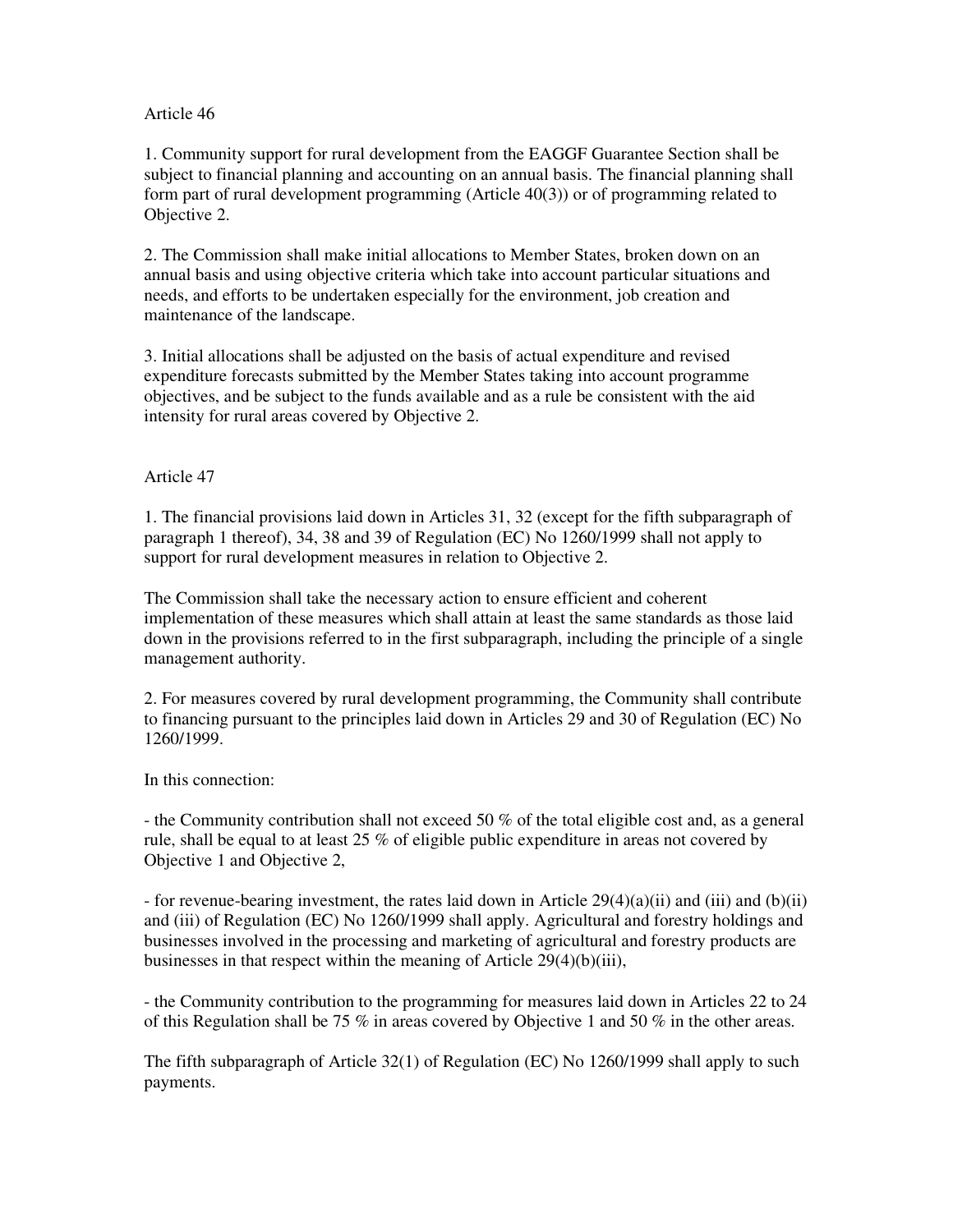## Article 46

1. Community support for rural development from the EAGGF Guarantee Section shall be subject to financial planning and accounting on an annual basis. The financial planning shall form part of rural development programming (Article 40(3)) or of programming related to Objective 2.

2. The Commission shall make initial allocations to Member States, broken down on an annual basis and using objective criteria which take into account particular situations and needs, and efforts to be undertaken especially for the environment, job creation and maintenance of the landscape.

3. Initial allocations shall be adjusted on the basis of actual expenditure and revised expenditure forecasts submitted by the Member States taking into account programme objectives, and be subject to the funds available and as a rule be consistent with the aid intensity for rural areas covered by Objective 2.

# Article 47

1. The financial provisions laid down in Articles 31, 32 (except for the fifth subparagraph of paragraph 1 thereof), 34, 38 and 39 of Regulation (EC) No 1260/1999 shall not apply to support for rural development measures in relation to Objective 2.

The Commission shall take the necessary action to ensure efficient and coherent implementation of these measures which shall attain at least the same standards as those laid down in the provisions referred to in the first subparagraph, including the principle of a single management authority.

2. For measures covered by rural development programming, the Community shall contribute to financing pursuant to the principles laid down in Articles 29 and 30 of Regulation (EC) No 1260/1999.

In this connection:

- the Community contribution shall not exceed 50 % of the total eligible cost and, as a general rule, shall be equal to at least 25 % of eligible public expenditure in areas not covered by Objective 1 and Objective 2,

- for revenue-bearing investment, the rates laid down in Article  $29(4)(a)(ii)$  and (iii) and (b)(ii) and (iii) of Regulation (EC) No 1260/1999 shall apply. Agricultural and forestry holdings and businesses involved in the processing and marketing of agricultural and forestry products are businesses in that respect within the meaning of Article  $29(4)(b)(iii)$ ,

- the Community contribution to the programming for measures laid down in Articles 22 to 24 of this Regulation shall be 75 % in areas covered by Objective 1 and 50 % in the other areas.

The fifth subparagraph of Article 32(1) of Regulation (EC) No 1260/1999 shall apply to such payments.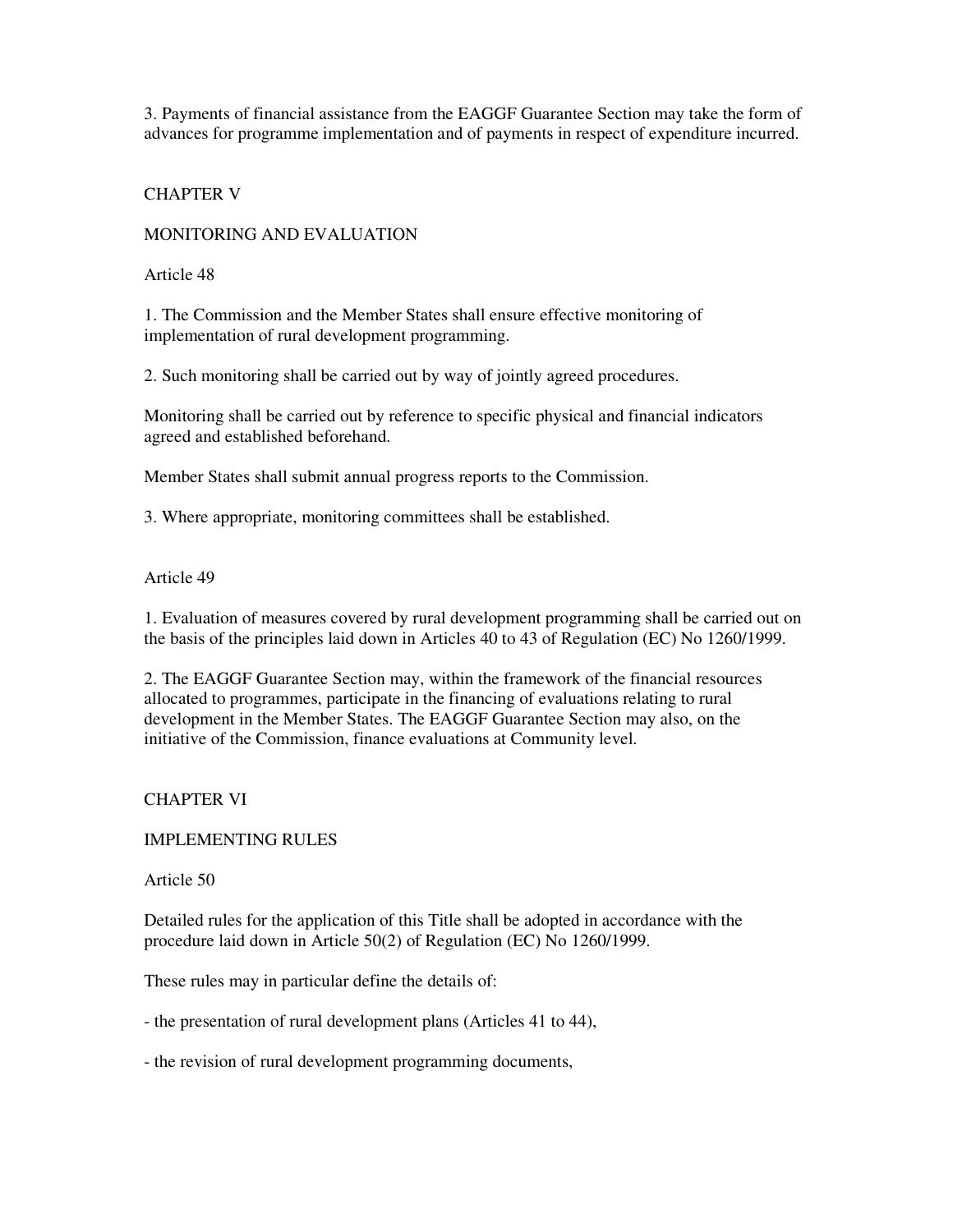3. Payments of financial assistance from the EAGGF Guarantee Section may take the form of advances for programme implementation and of payments in respect of expenditure incurred.

## CHAPTER V

## MONITORING AND EVALUATION

Article 48

1. The Commission and the Member States shall ensure effective monitoring of implementation of rural development programming.

2. Such monitoring shall be carried out by way of jointly agreed procedures.

Monitoring shall be carried out by reference to specific physical and financial indicators agreed and established beforehand.

Member States shall submit annual progress reports to the Commission.

3. Where appropriate, monitoring committees shall be established.

Article 49

1. Evaluation of measures covered by rural development programming shall be carried out on the basis of the principles laid down in Articles 40 to 43 of Regulation (EC) No 1260/1999.

2. The EAGGF Guarantee Section may, within the framework of the financial resources allocated to programmes, participate in the financing of evaluations relating to rural development in the Member States. The EAGGF Guarantee Section may also, on the initiative of the Commission, finance evaluations at Community level.

# CHAPTER VI

## IMPLEMENTING RULES

Article 50

Detailed rules for the application of this Title shall be adopted in accordance with the procedure laid down in Article 50(2) of Regulation (EC) No 1260/1999.

These rules may in particular define the details of:

- the presentation of rural development plans (Articles 41 to 44),

- the revision of rural development programming documents,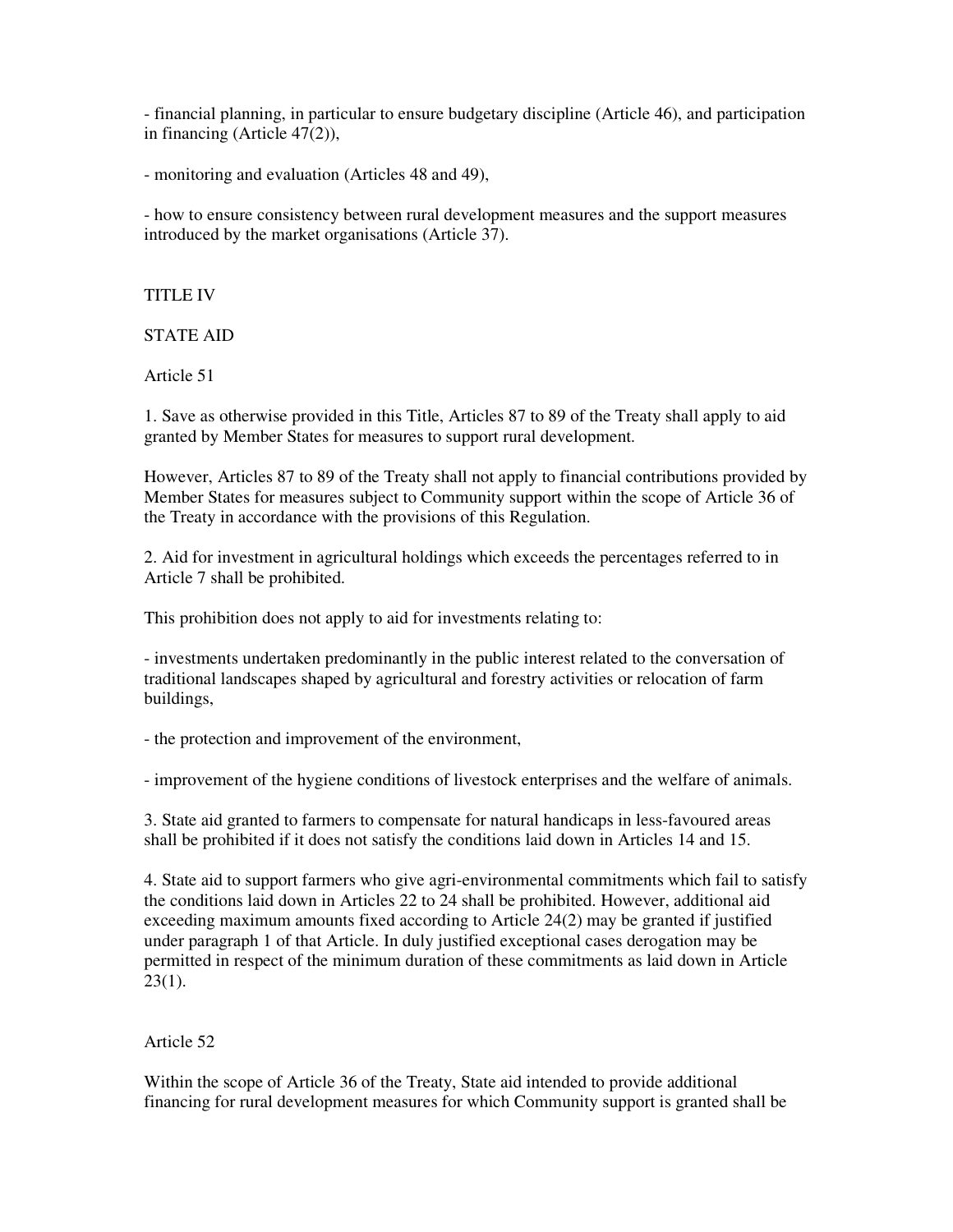- financial planning, in particular to ensure budgetary discipline (Article 46), and participation in financing (Article 47(2)),

- monitoring and evaluation (Articles 48 and 49),

- how to ensure consistency between rural development measures and the support measures introduced by the market organisations (Article 37).

TITLE IV

STATE AID

Article 51

1. Save as otherwise provided in this Title, Articles 87 to 89 of the Treaty shall apply to aid granted by Member States for measures to support rural development.

However, Articles 87 to 89 of the Treaty shall not apply to financial contributions provided by Member States for measures subject to Community support within the scope of Article 36 of the Treaty in accordance with the provisions of this Regulation.

2. Aid for investment in agricultural holdings which exceeds the percentages referred to in Article 7 shall be prohibited.

This prohibition does not apply to aid for investments relating to:

- investments undertaken predominantly in the public interest related to the conversation of traditional landscapes shaped by agricultural and forestry activities or relocation of farm buildings,

- the protection and improvement of the environment,

- improvement of the hygiene conditions of livestock enterprises and the welfare of animals.

3. State aid granted to farmers to compensate for natural handicaps in less-favoured areas shall be prohibited if it does not satisfy the conditions laid down in Articles 14 and 15.

4. State aid to support farmers who give agri-environmental commitments which fail to satisfy the conditions laid down in Articles 22 to 24 shall be prohibited. However, additional aid exceeding maximum amounts fixed according to Article 24(2) may be granted if justified under paragraph 1 of that Article. In duly justified exceptional cases derogation may be permitted in respect of the minimum duration of these commitments as laid down in Article  $23(1)$ .

#### Article 52

Within the scope of Article 36 of the Treaty, State aid intended to provide additional financing for rural development measures for which Community support is granted shall be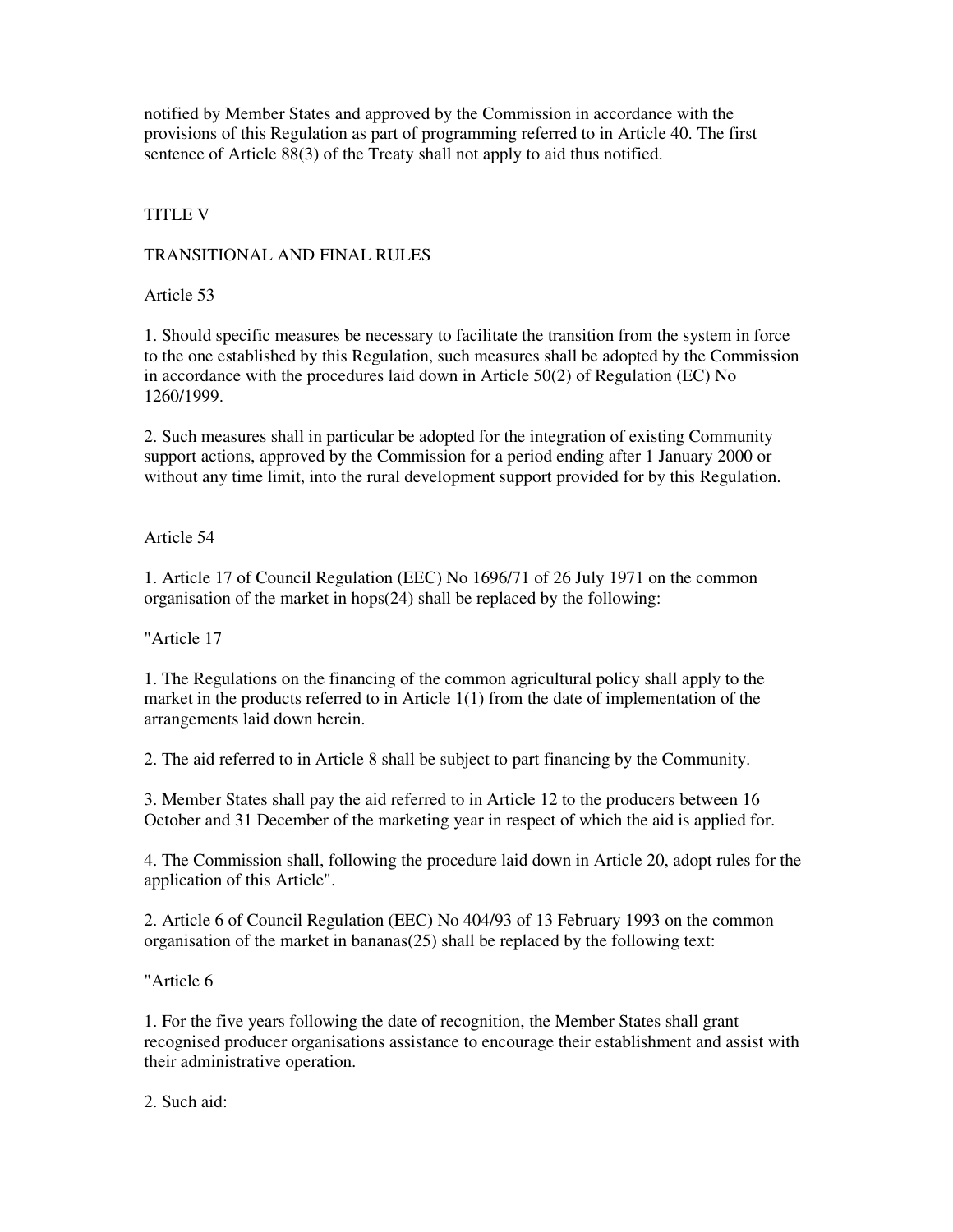notified by Member States and approved by the Commission in accordance with the provisions of this Regulation as part of programming referred to in Article 40. The first sentence of Article 88(3) of the Treaty shall not apply to aid thus notified.

TITLE V

TRANSITIONAL AND FINAL RULES

Article 53

1. Should specific measures be necessary to facilitate the transition from the system in force to the one established by this Regulation, such measures shall be adopted by the Commission in accordance with the procedures laid down in Article 50(2) of Regulation (EC) No 1260/1999.

2. Such measures shall in particular be adopted for the integration of existing Community support actions, approved by the Commission for a period ending after 1 January 2000 or without any time limit, into the rural development support provided for by this Regulation.

Article 54

1. Article 17 of Council Regulation (EEC) No 1696/71 of 26 July 1971 on the common organisation of the market in hops(24) shall be replaced by the following:

"Article 17

1. The Regulations on the financing of the common agricultural policy shall apply to the market in the products referred to in Article  $1(1)$  from the date of implementation of the arrangements laid down herein.

2. The aid referred to in Article 8 shall be subject to part financing by the Community.

3. Member States shall pay the aid referred to in Article 12 to the producers between 16 October and 31 December of the marketing year in respect of which the aid is applied for.

4. The Commission shall, following the procedure laid down in Article 20, adopt rules for the application of this Article".

2. Article 6 of Council Regulation (EEC) No 404/93 of 13 February 1993 on the common organisation of the market in bananas(25) shall be replaced by the following text:

"Article 6

1. For the five years following the date of recognition, the Member States shall grant recognised producer organisations assistance to encourage their establishment and assist with their administrative operation.

2. Such aid: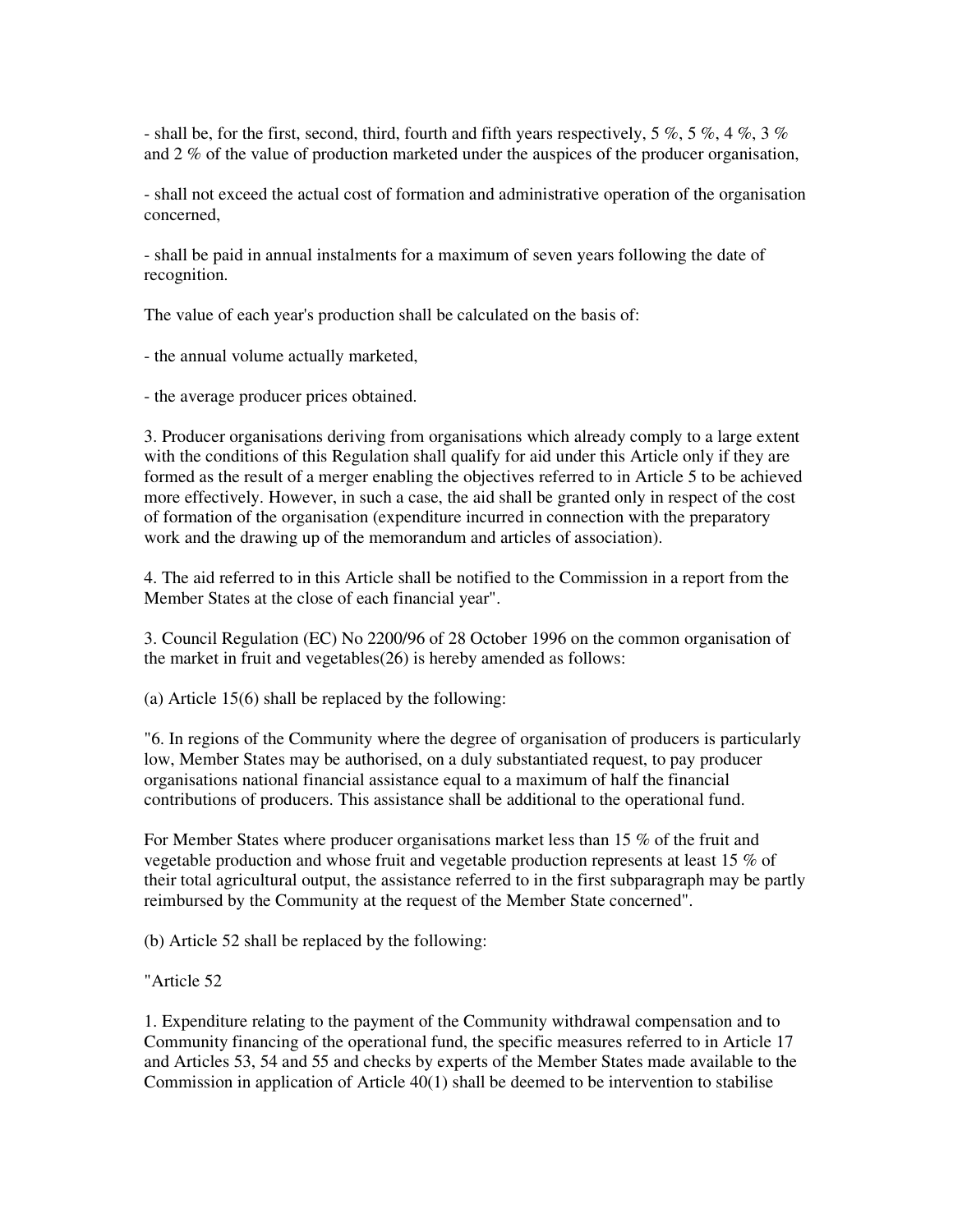- shall be, for the first, second, third, fourth and fifth years respectively, 5 %, 5 %, 4 %, 3 % and 2 % of the value of production marketed under the auspices of the producer organisation,

- shall not exceed the actual cost of formation and administrative operation of the organisation concerned,

- shall be paid in annual instalments for a maximum of seven years following the date of recognition.

The value of each year's production shall be calculated on the basis of:

- the annual volume actually marketed,

- the average producer prices obtained.

3. Producer organisations deriving from organisations which already comply to a large extent with the conditions of this Regulation shall qualify for aid under this Article only if they are formed as the result of a merger enabling the objectives referred to in Article 5 to be achieved more effectively. However, in such a case, the aid shall be granted only in respect of the cost of formation of the organisation (expenditure incurred in connection with the preparatory work and the drawing up of the memorandum and articles of association).

4. The aid referred to in this Article shall be notified to the Commission in a report from the Member States at the close of each financial year".

3. Council Regulation (EC) No 2200/96 of 28 October 1996 on the common organisation of the market in fruit and vegetables(26) is hereby amended as follows:

(a) Article 15(6) shall be replaced by the following:

"6. In regions of the Community where the degree of organisation of producers is particularly low, Member States may be authorised, on a duly substantiated request, to pay producer organisations national financial assistance equal to a maximum of half the financial contributions of producers. This assistance shall be additional to the operational fund.

For Member States where producer organisations market less than 15 % of the fruit and vegetable production and whose fruit and vegetable production represents at least 15 % of their total agricultural output, the assistance referred to in the first subparagraph may be partly reimbursed by the Community at the request of the Member State concerned".

(b) Article 52 shall be replaced by the following:

"Article 52

1. Expenditure relating to the payment of the Community withdrawal compensation and to Community financing of the operational fund, the specific measures referred to in Article 17 and Articles 53, 54 and 55 and checks by experts of the Member States made available to the Commission in application of Article 40(1) shall be deemed to be intervention to stabilise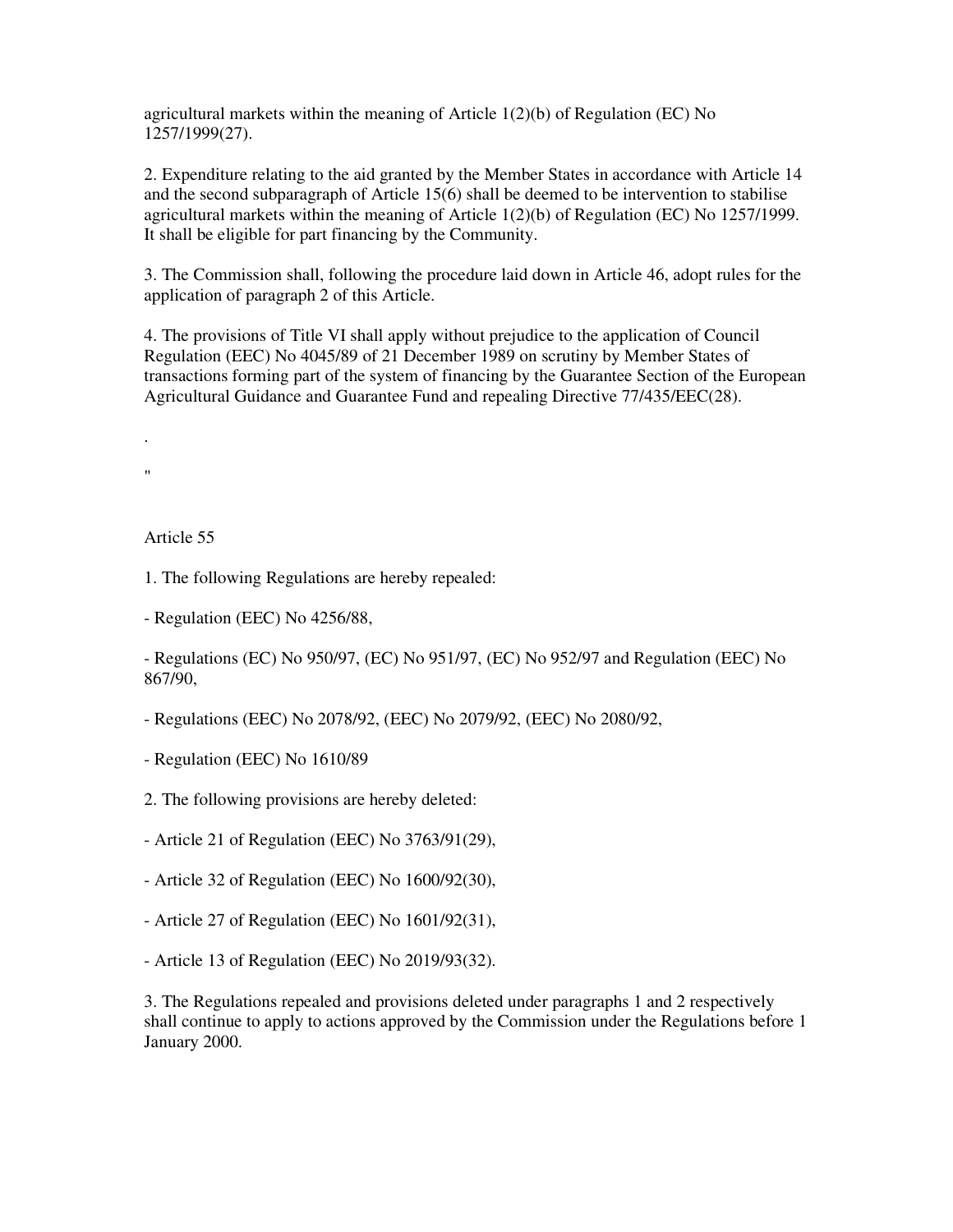agricultural markets within the meaning of Article 1(2)(b) of Regulation (EC) No 1257/1999(27).

2. Expenditure relating to the aid granted by the Member States in accordance with Article 14 and the second subparagraph of Article 15(6) shall be deemed to be intervention to stabilise agricultural markets within the meaning of Article 1(2)(b) of Regulation (EC) No 1257/1999. It shall be eligible for part financing by the Community.

3. The Commission shall, following the procedure laid down in Article 46, adopt rules for the application of paragraph 2 of this Article.

4. The provisions of Title VI shall apply without prejudice to the application of Council Regulation (EEC) No 4045/89 of 21 December 1989 on scrutiny by Member States of transactions forming part of the system of financing by the Guarantee Section of the European Agricultural Guidance and Guarantee Fund and repealing Directive 77/435/EEC(28).

. "

Article 55

1. The following Regulations are hereby repealed:

- Regulation (EEC) No 4256/88,

- Regulations (EC) No 950/97, (EC) No 951/97, (EC) No 952/97 and Regulation (EEC) No 867/90,

- Regulations (EEC) No 2078/92, (EEC) No 2079/92, (EEC) No 2080/92,

- Regulation (EEC) No 1610/89

2. The following provisions are hereby deleted:

- Article 21 of Regulation (EEC) No 3763/91(29),

- Article 32 of Regulation (EEC) No 1600/92(30),

- Article 27 of Regulation (EEC) No 1601/92(31),

- Article 13 of Regulation (EEC) No 2019/93(32).

3. The Regulations repealed and provisions deleted under paragraphs 1 and 2 respectively shall continue to apply to actions approved by the Commission under the Regulations before 1 January 2000.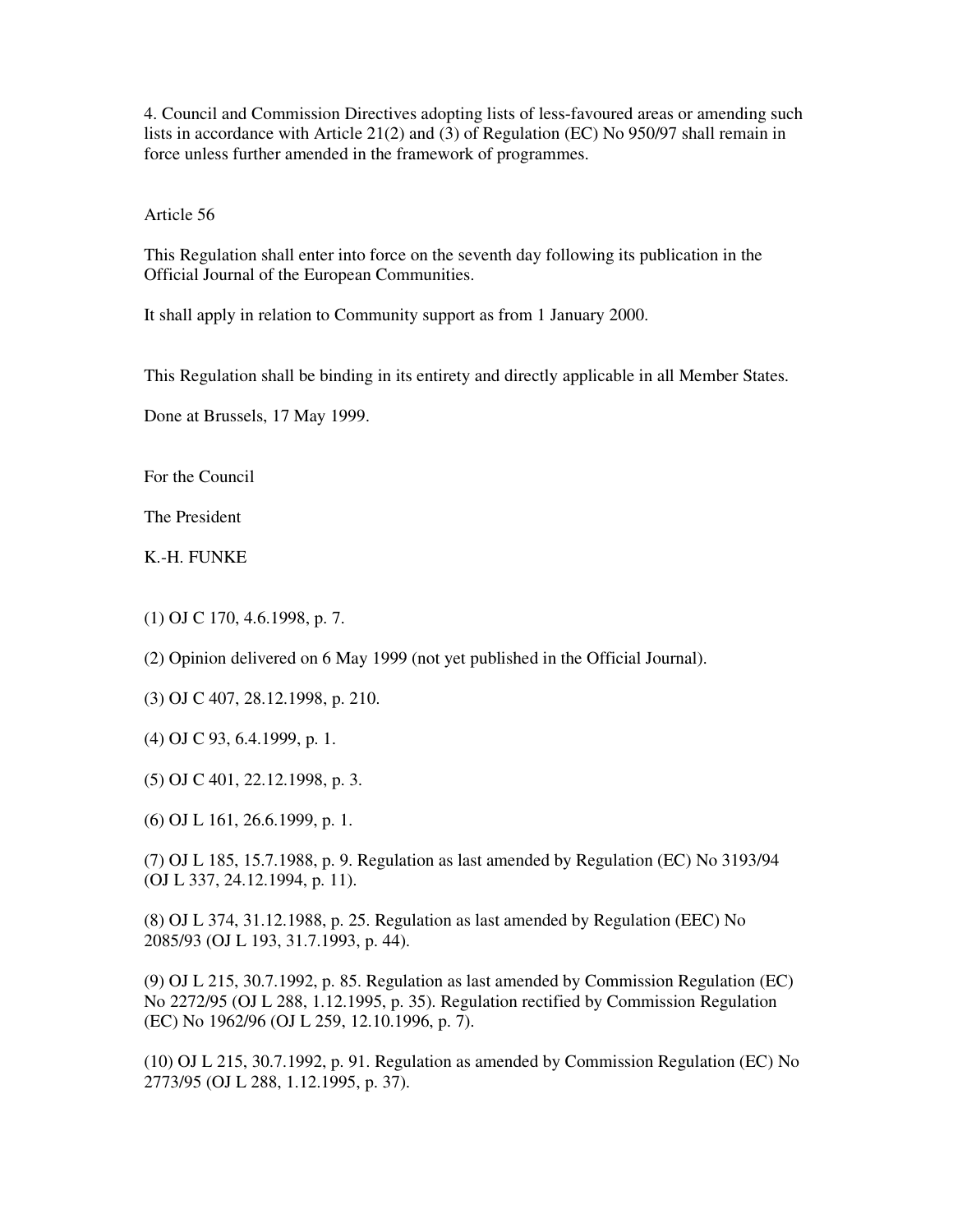4. Council and Commission Directives adopting lists of less-favoured areas or amending such lists in accordance with Article 21(2) and (3) of Regulation (EC) No 950/97 shall remain in force unless further amended in the framework of programmes.

Article 56

This Regulation shall enter into force on the seventh day following its publication in the Official Journal of the European Communities.

It shall apply in relation to Community support as from 1 January 2000.

This Regulation shall be binding in its entirety and directly applicable in all Member States.

Done at Brussels, 17 May 1999.

For the Council

The President

K.-H. FUNKE

(1) OJ C 170, 4.6.1998, p. 7.

(2) Opinion delivered on 6 May 1999 (not yet published in the Official Journal).

- (3) OJ C 407, 28.12.1998, p. 210.
- (4) OJ C 93, 6.4.1999, p. 1.
- (5) OJ C 401, 22.12.1998, p. 3.

(6) OJ L 161, 26.6.1999, p. 1.

(7) OJ L 185, 15.7.1988, p. 9. Regulation as last amended by Regulation (EC) No 3193/94 (OJ L 337, 24.12.1994, p. 11).

(8) OJ L 374, 31.12.1988, p. 25. Regulation as last amended by Regulation (EEC) No 2085/93 (OJ L 193, 31.7.1993, p. 44).

(9) OJ L 215, 30.7.1992, p. 85. Regulation as last amended by Commission Regulation (EC) No 2272/95 (OJ L 288, 1.12.1995, p. 35). Regulation rectified by Commission Regulation (EC) No 1962/96 (OJ L 259, 12.10.1996, p. 7).

(10) OJ L 215, 30.7.1992, p. 91. Regulation as amended by Commission Regulation (EC) No 2773/95 (OJ L 288, 1.12.1995, p. 37).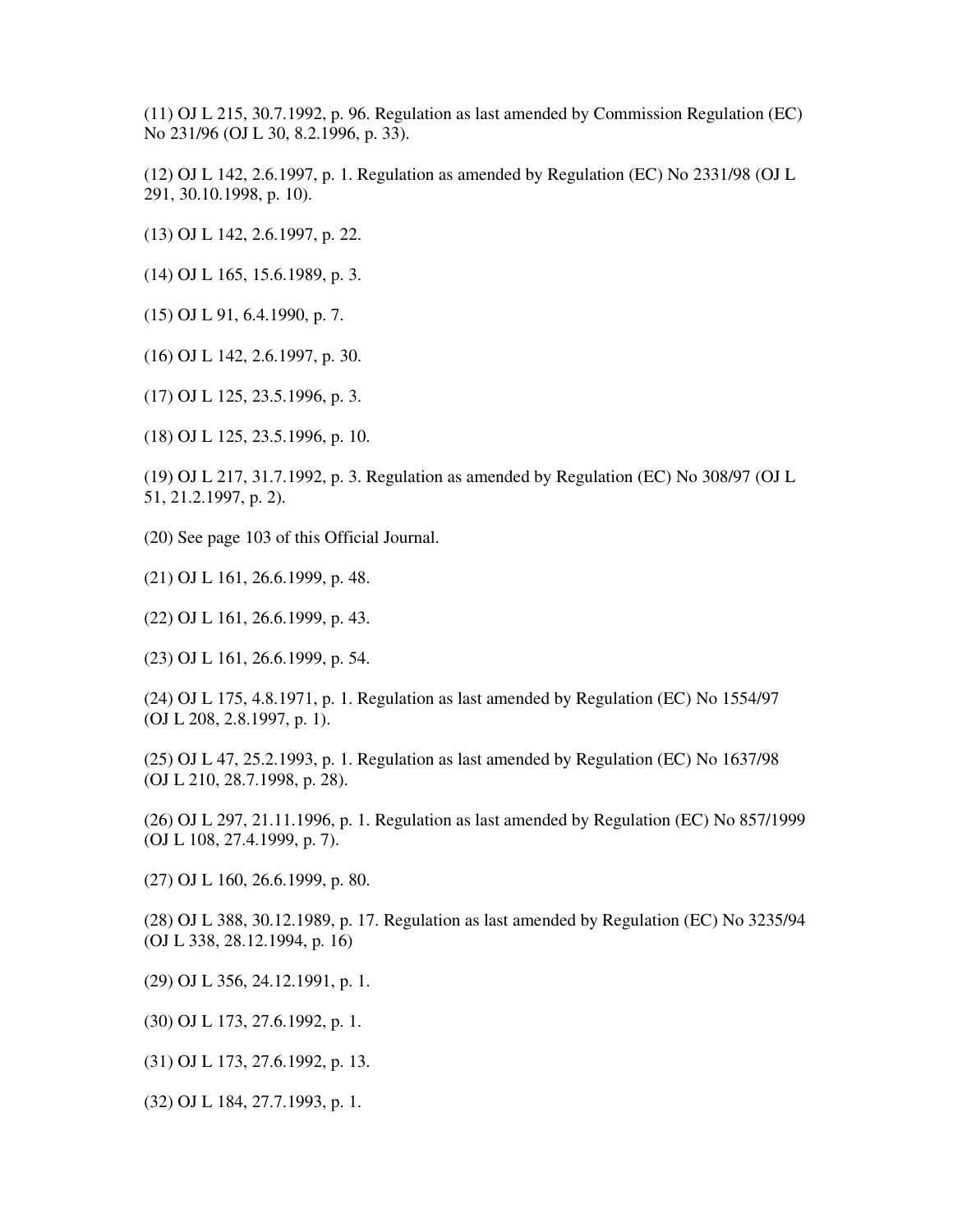(11) OJ L 215, 30.7.1992, p. 96. Regulation as last amended by Commission Regulation (EC) No 231/96 (OJ L 30, 8.2.1996, p. 33).

(12) OJ L 142, 2.6.1997, p. 1. Regulation as amended by Regulation (EC) No 2331/98 (OJ L 291, 30.10.1998, p. 10).

- (13) OJ L 142, 2.6.1997, p. 22.
- (14) OJ L 165, 15.6.1989, p. 3.
- (15) OJ L 91, 6.4.1990, p. 7.
- (16) OJ L 142, 2.6.1997, p. 30.
- (17) OJ L 125, 23.5.1996, p. 3.
- (18) OJ L 125, 23.5.1996, p. 10.

(19) OJ L 217, 31.7.1992, p. 3. Regulation as amended by Regulation (EC) No 308/97 (OJ L 51, 21.2.1997, p. 2).

- (20) See page 103 of this Official Journal.
- (21) OJ L 161, 26.6.1999, p. 48.
- (22) OJ L 161, 26.6.1999, p. 43.
- (23) OJ L 161, 26.6.1999, p. 54.

(24) OJ L 175, 4.8.1971, p. 1. Regulation as last amended by Regulation (EC) No 1554/97 (OJ L 208, 2.8.1997, p. 1).

(25) OJ L 47, 25.2.1993, p. 1. Regulation as last amended by Regulation (EC) No 1637/98 (OJ L 210, 28.7.1998, p. 28).

(26) OJ L 297, 21.11.1996, p. 1. Regulation as last amended by Regulation (EC) No 857/1999 (OJ L 108, 27.4.1999, p. 7).

(27) OJ L 160, 26.6.1999, p. 80.

(28) OJ L 388, 30.12.1989, p. 17. Regulation as last amended by Regulation (EC) No 3235/94 (OJ L 338, 28.12.1994, p. 16)

- (29) OJ L 356, 24.12.1991, p. 1.
- (30) OJ L 173, 27.6.1992, p. 1.
- (31) OJ L 173, 27.6.1992, p. 13.
- (32) OJ L 184, 27.7.1993, p. 1.